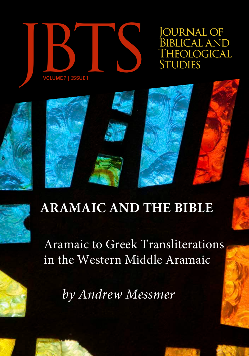

OURNAL OF BIBLICAL AND<br>THEOLOGICAL



# **ARAMAIC AND THE BIBLE**

Aramaic to Greek Transliterations in the Western Middle Aramaic

*by Andrew Messmer*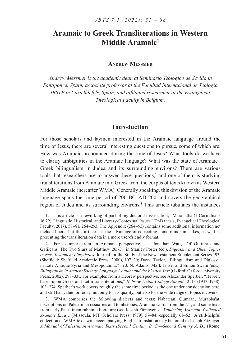# **Aramaic to Greek Transliterations in Western Middle Aramaic1**

#### **Andrew Messmer**

*Andrew Messmer is the academic dean at Seminario Teológico de Sevilla in Santiponce, Spain; associate professor at the Facultad Internacional de Teología IBSTE in Castelldefels, Spain; and affiliated researcher at the Evangelical Theological Faculty in Belgium.*

#### **Introduction**

For those scholars and laymen interested in the Aramaic language around the time of Jesus, there are several interesting questions to pursue, some of which are: How was Aramaic pronounced during the time of Jesus? What tools do we have to clarify ambiguities in the Aramaic language? What was the state of Aramaic– Greek bilingualism in Judea and its surrounding environs? There are various tools that researchers use to answer these questions,<sup>2</sup> and one of them is studying transliterations from Aramaic into Greek from the corpus of texts known as Western Middle Aramaic (hereafter WMA). Generally speaking, this division of the Aramaic language spans the time period of 200 BC–AD 200 and covers the geographical region of Judea and its surrounding environs.<sup>3</sup> This article tabulates the instances

1. This article is a reworking of part of my doctoral dissertation; "Maranatha (1 Corinthians 16:22): Linguistic, Historical, and Literary-Contextual Issues" (PhD thesis, Evangelical Theological Faculty, 2017), 58–81, 264–293. The Appendix (264–93) contains some additional information not included here, but this article has the advantage of correcting some minor mistakes, as well as presenting the transliteration data in a more user-friendly format.

2. For examples from an Aramaic perspective, see. Jonathan Watt, "Of Gutturals and Galileans: The Two Slurs of Matthew 26:73," in Stanley Porter (ed.), *Diglossia and Other Topics in New Testament Linguistics*, Journal for the Study of the New Testament Supplement Series 193; (Sheffield: Sheffield Academic Press, 2000), 107–20; David Taylor, "Bilingualism and Diglossia in Late Antique Syria and Mesopotamia," in J. N. Adams, Mark Janse, and Simon Swain (eds.), *Bilingualism in Ancient Society: Language Contact and the Written Text* (Oxford: Oxford University Press, 2002), 298–331. For examples from a Hebrew perspective, see Alexander Sperber, "Hebrew based upon Greek and Latin transliterations," *Hebrew Union College Annual* 12–13 (1937–1938): 103–274. Sperber's work covers roughly the same time period as the one under consideration here, and still has value for today, not only for its quality, but also for the wide range of topics it covers.

WMA comprises the following dialects and texts: Nabatean, Qumran, Murabba'at, inscriptions on Palestinian ossuaries and tombstones, Aramaic words from the NT, and some texts from early Palestinian rabbinic literature (see Joseph Fitzmyer, *A Wandering Aramean: Collected Aramaic Essays* [Missoula, MT: Scholars Press, 1979], 57–84, especially 61–62). A still-helpful collection of WMA texts with accompanying English translation may be found in Joseph Fitzmyer, *A Manual of Palestinian Aramaic Texts (Second Century B. C.—Second Century A. D.)* (Rome: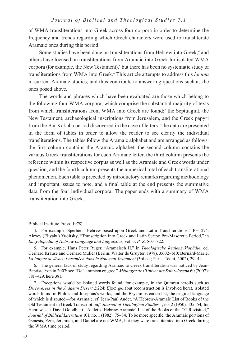#### *Journal of Biblical and Theological Studies 7.1*

of WMA transliterations into Greek across four corpora in order to determine the frequency and trends regarding which Greek characters were used to transliterate Aramaic ones during this period.

Some studies have been done on transliterations from Hebrew into Greek,<sup>4</sup> and others have focused on transliterations from Aramaic into Greek for isolated WMA corpora (for example, the New Testament),<sup>5</sup> but there has been no systematic study of transliterations from WMA into Greek.6 This article attempts to address this *lacuna* in current Aramaic studies, and thus contribute to answering questions such as the ones posed above.

The words and phrases which have been evaluated are those which belong to the following four WMA corpora, which comprise the substantial majority of texts from which transliterations from WMA into Greek are found:<sup>7</sup> the Septuagint, the New Testament, archaeological inscriptions from Jerusalem, and the Greek papyri from the Bar Kokhba period discovered in the cave of letters. The data are presented in the form of tables in order to allow the reader to see clearly the individual transliterations. The tables follow the Aramaic alphabet and are arranged as follows: the first column contains the Aramaic alphabet, the second column contains the various Greek transliterations for each Aramaic letter, the third column presents the reference within its respective corpus as well as the Aramaic and Greek words under question, and the fourth column presents the numerical total of each transliterational phenomenon. Each table is preceded by introductory remarks regarding methodology and important issues to note, and a final table at the end presents the summative data from the four individual corpora. The paper ends with a summary of WMA transliteration into Greek.

Biblical Institute Press, 1978).

4. For example, Sperber, "Hebrew based upon Greek and Latin Transliterations," 103–274; Alexey (Eliyahu) Yuditsky, "Transcription into Greek and Latin Script: Pre-Masoretic Period," in *Encyclopedia of Hebrew Language and Linguistics,* vol. 3, *P–Z,* 803–822.

5. For example, Hans Peter Rüger, "Aramäisch II," in *Theologische Realenzyklopädie*, ed. Gerhard Krause and Gerhard Müller (Berlin: Walter de Gruyter, 1978), 3:602–610; Bernard-Marie, *La langue de Jésus: l'araméen dans le Nouveau Testament* (3rd ed.; Paris: Téqui, 2002), 29–44.

6. The general lack of study regarding Aramaic to Greek transliteration was noticed by Jean-Baptiste Yon in 2007; see "De l'araméen en grec," *Mélanges de l'Université Saint-Joseph* 60 (2007): 381–429, here 381.

7. Exceptions would be isolated words found, for example, in the Qumran scrolls such as *Discoveries in the Judaean Desert* 2:224: Σ]ωφηρα (but reconstruction is involved here), isolated words found in Philo's and Josephus's works, and the Bryennios canon list, the original language of which is disputed—for Aramaic, cf. Jean-Paul Audet, "A Hebrew-Aramaic List of Books of the Old Testament in Greek Transcription," *Journal of Theological Studies* 1, no. 2 (1950): 135–54; for Hebrew, see. David Goodblatt, "Audet's 'Hebrew-Aramaic' List of the Books of the OT Revisited," *Journal of Biblical Literature* 101, no. 1 (1982): 75–84. To be more specific, the Aramaic portions of Genesis, Ezra, Jeremiah, and Daniel are not WMA, but they were transliterated into Greek during the WMA time period.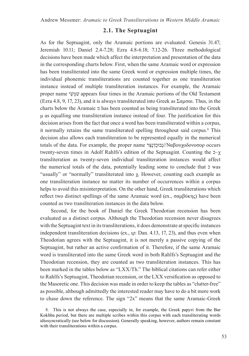#### **2.1. The Septuagint**

As for the Septuagint, only the Aramaic portions are evaluated: Genesis 31.47; Jeremiah 10.11; Daniel 2.4-7.28; Ezra 4.8-6.18; 7.12-26. Three methodological decisions have been made which affect the interpretation and presentation of the data in the corresponding charts below. First, when the same Aramaic word or expression has been transliterated into the same Greek word or expression multiple times, the individual phonemic transliterations are counted together as one transliteration instance instead of multiple transliteration instances. For example, the Aramaic proper name יַשְׁמִשׁ appears four times in the Aramaic portions of the Old Testament (Ezra 4.8, 9, 17, 23), and it is always transliterated into Greek as Σαμσαι. Thus, in the charts below the Aramaic מ has been counted as being transliterated into the Greek μ as equalling one transliteration instance instead of four. The justification for this decision arises from the fact that once a word has been transliterated within a corpus, it normally retains the same transliterated spelling throughout said corpus.<sup>8</sup> This decision also allows each transliteration to be represented equally in the numerical totals of the data. For example, the proper name  $\frac{1}{2}$ ובוּכַדְנָצֵּר)/Ναβουχοδονοσορ occurs twenty-seven times in Adolf Rahlfs's edition of the Septuagint. Counting the  $\neg$ - $\chi$ transliteration as twenty-seven individual transliteration instances would affect the numerical totals of the data, potentially leading some to conclude that כ was "usually" or "normally" transliterated into χ. However, counting each example as one transliteration instance no matter its number of occurrences within a corpus helps to avoid this misinterpretation. On the other hand, Greek transliterations which reflect two distinct spellings of the same Aramaic word (ex., σαμβύκης) have been counted as two transliteration instances in the data below.

Second, for the book of Daniel the Greek Theodotian recension has been evaluated as a distinct corpus. Although the Theodotian recension never disagrees with the Septuagint text in its transliterations, it does demonstrate at specific instances independent transliteration decisions (ex., ιρ: Dan. 4.13, 17, 23), and thus even when Theodotian agrees with the Septuagint, it is not merely a passive copying of the Septuagint, but rather an active confirmation of it. Therefore, if the same Aramaic word is transliterated into the same Greek word in both Rahlfs's Septuagint and the Theodotian recension, they are counted as two transliteration instances. This has been marked in the tables below as "LXX/Th." The biblical citations can refer either to Rahlfs's Septuagint, Theodotian recension, or the LXX versification as opposed to the Masoretic one. This decision was made in order to keep the tables as "clutter-free" as possible, although admittedly the interested reader may have to do a bit more work to chase down the reference. The sign "2x" means that the same Aramaic-Greek

<sup>8</sup>. This is not always the case, especially in, for example, the Greek papyri from the Bar Kokhba period, but there are multiple scribes within this corpus with each transliterating words idiosyncratically (see below for discussion). Generally speaking, however, authors remain constant with their transliterations within a corpus.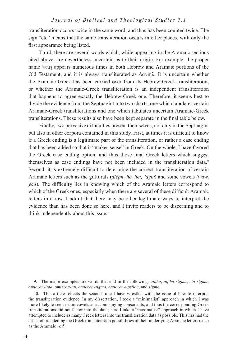transliteration occurs twice in the same word, and thus has been counted twice. The sign "etc" means that the same transliteration occurs in other places, with only the first appearance being listed.

Third, there are several words which, while appearing in the Aramaic sections cited above, are nevertheless uncertain as to their origin. For example, the proper name אלֵּיִנָּד appears numerous times in both Hebrew and Aramaic portions of the Old Testament, and it is always transliterated as  $Δανιηλ$ . It is uncertain whether the Aramaic-Greek has been carried over from its Hebrew-Greek transliteration, or whether the Aramaic-Greek transliteration is an independent transliteration that happens to agree exactly the Hebrew-Greek one. Therefore, it seems best to divide the evidence from the Septuagint into two charts, one which tabulates certain Aramaic-Greek transliterations and one which tabulates uncertain Aramaic-Greek transliterations. These results also have been kept separate in the final table below.

Finally, two pervasive difficulties present themselves, not only in the Septuagint but also in other corpora contained in this study. First, at times it is difficult to know if a Greek ending is a legitimate part of the transliteration, or rather a case ending that has been added so that it "makes sense" in Greek. On the whole, I have favored the Greek case ending option, and thus those final Greek letters which suggest themselves as case endings have not been included in the transliteration data.<sup>9</sup> Second, it is extremely difficult to determine the correct transliteration of certain Aramaic letters such as the gutturals (*aleph, he, het, 'ayin*) and some vowels (*waw*, *yod*). The difficulty lies in knowing which of the Aramaic letters correspond to which of the Greek ones, especially when there are several of these difficult Aramaic letters in a row. I admit that there may be other legitimate ways to interpret the evidence than has been done so here, and I invite readers to be discerning and to think independently about this issue.10

9. The major examples are words that end in the following: *alpha*, *alpha-sigma*, *eta-sigma*, *omicron-iota*, *omicron-nu*, *omicron-sigma*, *omicron-upsilon*, and *sigma*.

10. This article reflects the second time I have wrestled with the issue of how to interpret the transliteration evidence. In my dissertation, I took a "minimalist" approach in which I was more likely to see certain vowels as accompanying consonants, and thus the corresponding Greek transliterations did not factor into the data; here I take a "maximalist" approach in which I have attempted to include as many Greek letters into the transliteration data as possible. This has had the effect of broadening the Greek transliteration possibilities of their underlying Aramaic letters (such as the Aramaic *yod*).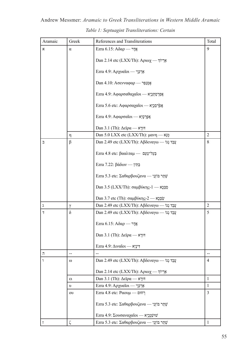Andrew Messmer: *Aramaic to Greek Transliterations in Western Middle Aramaic Table 1: Septuagint Transliterations: Certain*

| Aramaic          | Greek          | References and Transliterations                                               | Total          |
|------------------|----------------|-------------------------------------------------------------------------------|----------------|
| x                | $\alpha$       | Ezra 6.15: Αδαρ — אֲדָר                                                       | 9              |
|                  |                | Dan 2.14 etc (LXX/Th): Αριωχ - Σηγγί                                          |                |
|                  |                | Ezra 4.9: Αρχυαΐοι — אֲרְכְּוָי                                               |                |
|                  |                | Dan 4.10: Ασενναφαρ - אָסְנַפַּר                                              |                |
|                  |                | Ezra 4.9: Αφαρσαθαχαΐοι — κερροποι                                            |                |
|                  |                | Ezra 5.6 etc: Αφαρσαχαΐοι - κερφέρει                                          |                |
|                  |                | Ezra 4.9: Αφαρσαΐοι - - Χριτριν                                               |                |
|                  |                | $Dan 3.1 (Th): \Delta \varepsilon \varphi \alpha \longrightarrow$ דורָא       |                |
|                  | η              | Dan 5.0 LXX etc (LXX/Th): μανη — מְנֵא                                        | $\overline{2}$ |
| ℶ                | β              | Dan 2.49 etc (LXX/Th): Αβδεναγω — עֲבֶד גְגוֹ                                 | 8              |
|                  |                | Ezra 4.8 etc: βααλταμ — Ξυντεν                                                |                |
|                  |                | Ezra 7.22: βάδων — בַּתְּין                                                   |                |
|                  |                | Ezra 5.3 etc: Σαθαρβουζανα — שְׁתַר בּוֹזְנֵי                                 |                |
|                  |                | Dan 3.5 (LXX/Th): σαμβύκης-1 - κρες                                           |                |
|                  |                | Dan 3.7 etc (Th): σαμβύκης-2 - "                                              |                |
| λ                | $\gamma$       | Dan 2.49 etc (LXX/Th): Αβδεναγω — עֲבֵד גְגוֹ                                 | $\overline{2}$ |
| $\overline{1}$   | $\delta$       | Dan 2.49 etc (LXX/Th): Αβδεναγω — עֲבֶד גְגוֹ                                 | 5              |
|                  |                | Ezra 6.15: Αδαρ — אֲדָר                                                       |                |
|                  |                | Dan 3.1 (Th): $\Delta \varepsilon \mathfrak{ip} \alpha \longrightarrow$ דורא  |                |
|                  |                | Ezra 4.9: מונינָא Γεναΐοι —                                                   |                |
| π                |                |                                                                               |                |
|                  | $\omega$       | Dan 2.49 etc (LXX/Th): Αβδεναγω — עֲבֵד גְגוֹ                                 | $\overline{4}$ |
|                  |                | Dan 2.14 etc (LXX/Th): Αριωχ - "                                              |                |
|                  | ει             | Dan 3.1 (Th): $\Delta \varepsilon \mathfrak{ip} \alpha \longrightarrow$ דורָא | $\mathbf{1}$   |
|                  | $\upsilon$     | Ezra 4.9: Αρχυαΐοι — γεργ                                                     | $\mathbf{1}$   |
|                  | $_{\text{ov}}$ | Fzra 4.8 etc: Ραουμ — רְחוּם                                                  | 3              |
|                  |                | Ezra 5.3 etc: Σαθαρβουζανα — ψίματη φ                                         |                |
|                  |                | Εzra 4.9: Σουσαναχαΐοι - κηριψή                                               |                |
| $\bar{\text{I}}$ | $\zeta$        | Ezra 5.3 etc: Σαθαρβουζανα — ψητε την                                         | 1              |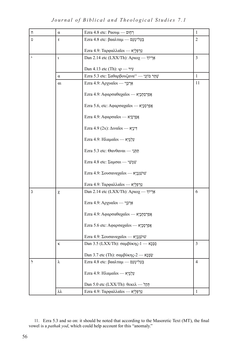# *Journal of Biblical and Theological Studies 7.1*

| Π | $\alpha$       | Fzra 4.8 etc: Ραουμ — רְחֶוּם                               | 1              |
|---|----------------|-------------------------------------------------------------|----------------|
| Ú | τ              | Ezra 4.8 etc: βααλταμ — εμετομετ                            | $\overline{2}$ |
|   |                | Ezra 4.9: Ταρφαλλαΐοι — εζές                                |                |
| , |                |                                                             | 3              |
|   | $\mathfrak{r}$ | Dan 2.14 etc (LXX/Th): Αριωχ - "                            |                |
|   |                | Dan 4.13 etc (Th): $\varphi$ - עִיר                         |                |
|   | $\alpha$       | Ezra 5.3 etc: Σαθαρβουζανα <sup>11</sup> — שְׁתַר בּוֹזְנֵי | $\mathbf{1}$   |
|   | $\alpha$       | Ezra 4.9: Αρχυαΐοι — γερ                                    | 11             |
|   |                | Ezra 4.9: Αφαρσαθαχαΐοι - - κερροπ                          |                |
|   |                | Ezra 5.6, etc: Αφαρσαχαΐοι - κερρτρε                        |                |
|   |                | Ezra 4.9: Αφαρσαΐοι — κεργει                                |                |
|   |                | Ezra 4.9 (2x): Διναΐοι — Γενν                               |                |
|   |                | Ezra 4.9: Ηλαμαΐοι — κερφί                                  |                |
|   |                | Ezra 5.3 etc: Θανθαναι — חַתְּנֵי                           |                |
|   |                | Ezra 4.8 etc: Σαμσαι — νψυψ                                 |                |
|   |                | Εzra 4.9: Σουσαναχαΐοι — νυμψί                              |                |
|   |                | Ezra 4.9: Ταρφαλλαΐοι — εζές                                |                |
| C | χ              | Dan 2.14 etc (LXX/Th): Αριωχ - "                            | 6              |
|   |                | Ezra 4.9: Αρχυαΐοι — γεργ                                   |                |
|   |                | Ezra 4.9: Αφαρσαθαχαΐοι - "Άριτρης"                         |                |
|   |                | Ezra 5.6 etc: Αφαρσαχαΐοι - κερρηφικ                        |                |
|   |                | Εzra 4.9: Σουσαναχαΐοι — ψειφερ                             |                |
|   | κ              | Dan 3.5 (LXX/Th): σαμβύκης-1 - χρει                         | $\mathfrak{Z}$ |
|   |                | Dan 3.7 etc (Th): σαμβύκης-2 - "                            |                |
| ነ | λ              | Ezra 4.8 etc: βααλταμ — קַעֲל־טְעֵם                         | 4              |
|   |                | Ezra 4.9: Ηλαμαΐοι — אֲיֶלְמָיָא                            |                |
|   |                | Dan 5.0 etc (LXX/Th): θεκελ — חֲקֵל                         |                |
|   | λλ             | Ezra 4.9: Ταρφαλλαΐοι — κτινική                             | 1              |

<sup>11</sup>. Ezra 5.3 and so on: it should be noted that according to the Masoretic Text (MT), the final vowel is a *pathak yod*, which could help account for this "anomaly."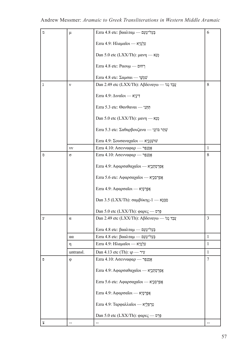| n | μ              | Ezra 4.8 etc: βααλταμ — בְּעֲל־טָעֲם          | 6              |
|---|----------------|-----------------------------------------------|----------------|
|   |                | Ezra 4.9: Ηλαμαΐοι — κνιντ                    |                |
|   |                | Dan 5.0 etc (LXX/Th): μανη — מְנֵא            |                |
|   |                | Fzra 4.8 etc: Ραουμ — רְחוּם                  |                |
|   |                | Ezra 4.8 etc: Σαμσαι — ψηψ                    |                |
| ı | $\mathbf{v}$   | Dan 2.49 etc (LXX/Th): Αβδεναγω — עֲבֶד גָגוֹ | 8              |
|   |                | Ezra 4.9: $\Delta$ ויניֵא ה                   |                |
|   |                | Ezra 5.3 etc: Θανθαναι — תַּתְּנַי            |                |
|   |                | Dan 5.0 etc (LXX/Th): μανη — מְנֵא            |                |
|   |                | Ezra 5.3 etc: Σαθαρβουζανα — שְׁתַר בּוֹזְנַי |                |
|   |                | Εzra 4.9: Σουσαναχαΐοι — ψιψίψ                |                |
|   | νv             | Εzra 4.10: Ασενναφαρ - γριζ                   | $\mathbf{1}$   |
| O | σ              | Εzra 4.10: Ασενναφαρ - "                      | 8              |
|   |                | Ezra 4.9: Αφαρσαθαχαΐοι - - κερερτική         |                |
|   |                | Ezra 5.6 etc: Αφαρσαχαΐοι - "                 |                |
|   |                | Ezra 4.9: Αφαρσαΐοι — κεργ                    |                |
|   |                | Dan 3.5 (LXX/Th): σαμβύκης-1 - κρες           |                |
|   |                | Dan 5.0 etc (LXX/Th): φαρες — פְּרֵס          |                |
| У | $\alpha$       | Dan 2.49 etc (LXX/Th): Αβδεναγω — עֲבֶד גָגוֹ | 3              |
|   |                | Ezra 4.8 etc: βααλταμ — בְּעֲל־טָעֲם          |                |
|   | $\alpha\alpha$ | Ezra 4.8 etc: βααλταμ — קַעֲל־טְעֵם           | 1              |
|   | η              | Ezra 4.9: Ηλαμαΐοι — κτρζ                     | $\mathbf{1}$   |
|   | untransl.      | Dan 4.13 etc (Th): $\upmu$ - עִיר             | 1              |
| Đ | $\varphi$      | Εzra 4.10: Ασενναφαρ - "                      | $\overline{7}$ |
|   |                | Ezra 4.9: Αφαρσαθαχαΐοι - κερροπ              |                |
|   |                | Ezra 5.6 etc: Αφαρσαχαΐοι - κορτρεχ           |                |
|   |                | Ezra 4.9: Αφαρσαΐοι - "                       |                |
|   |                | Ezra 4.9: Ταρφαλλαΐοι — κετρο                 |                |
|   |                | Dan 5.0 etc (LXX/Th): φαρες — פְּרֵס          |                |
| Х |                |                                               |                |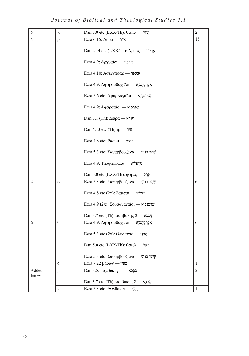*Journal of Biblical and Theological Studies 7.1*

| $\overline{P}$ | κ          | Dan 5.0 etc (LXX/Th): θεκελ — חֲקֵל                                                              | $\overline{c}$ |
|----------------|------------|--------------------------------------------------------------------------------------------------|----------------|
| ר              | ρ          | Ezra 6.15: $A\delta\alpha\rho$ — אֲדָר                                                           | 15             |
|                |            |                                                                                                  |                |
|                |            | Dan 2.14 etc (LXX/Th): Αριωχ - γινής                                                             |                |
|                |            | Ezra 4.9: Αρχυαΐοι — "אֲרְכְּוָ                                                                  |                |
|                |            |                                                                                                  |                |
|                |            | Εzra 4.10: Ασενναφαρ - Σερ                                                                       |                |
|                |            | Ezra 4.9: Αφαρσαθαχαΐοι - - κερρομέ                                                              |                |
|                |            |                                                                                                  |                |
|                |            | Ezra 5.6 etc: Αφαρσαχαΐοι - κερρτρε                                                              |                |
|                |            | Ezra 4.9: Αφαρσαΐοι — κεργει                                                                     |                |
|                |            |                                                                                                  |                |
|                |            | $Dan 3.1 (Th): \Delta \varepsilon \varphi \alpha \longrightarrow \overline{\varepsilon}$ דּוּרָא |                |
|                |            | Dan 4.13 etc (Th) $\upmu$ - עִיר                                                                 |                |
|                |            |                                                                                                  |                |
|                |            | Fzra 4.8 etc: Ραουμ — רְחוּם                                                                     |                |
|                |            | Ezra 5.3 etc: Σαθαρβουζανα — ψυτε                                                                |                |
|                |            |                                                                                                  |                |
|                |            | Ezra 4.9: Ταρφαλλαΐοι — εζές                                                                     |                |
|                |            | Dan 5.0 etc (LXX/Th): φαρες — פְּרֵס                                                             |                |
| W              | $\sigma$   | Ezra 5.3 etc: Σαθαρβουζανα — שְׁתַר בּוֹזְנַי                                                    | 6              |
|                |            |                                                                                                  |                |
|                |            | Ezra 4.8 etc (2x): Σαμσαι — νψηψ                                                                 |                |
|                |            | Ezra 4.9 (2x): Σουσαναχαΐοι — Ν' Σεντ                                                            |                |
|                |            |                                                                                                  |                |
|                |            | Dan 3.7 etc (Th): σαμβύκης-2 - "                                                                 |                |
| Л              | $\theta$   | Ezra 4.9: Αφαρσαθαχαΐοι - κερροποι                                                               | 6              |
|                |            | Ezra 5.3 etc (2x): Θανθαναι — תַּתְּנֵי                                                          |                |
|                |            |                                                                                                  |                |
|                |            | Dan 5.0 etc (LXX/Th): θεκελ — חֲקֵל                                                              |                |
|                |            | Ezra 5.3 etc: Σαθαρβουζανα — ψυφ                                                                 |                |
|                | $\delta$   | Ezra 7.22 βάδων — בַּתְּין                                                                       | $\mathbf{1}$   |
| Added          | μ          | Dan 3.5: σαμβύκης-1 - κερε                                                                       | $\overline{c}$ |
| letters        |            |                                                                                                  |                |
|                |            | Dan 3.7 etc (Th) σαμβύκης-2 - "                                                                  |                |
|                | $_{\rm V}$ | Ezra 5.3 etc: Θανθαναι — מַתְּנַי                                                                | $\mathbf{1}$   |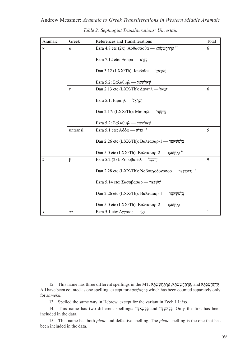| Andrew Messmer: Aramaic to Greek Transliterations in Western Middle Aramaic |                                                 |  |  |  |  |
|-----------------------------------------------------------------------------|-------------------------------------------------|--|--|--|--|
|                                                                             | Table 2: Septuagint Transliterations: Uncertain |  |  |  |  |

| Aramaic   | Greek          | References and Transliterations                             | Total       |
|-----------|----------------|-------------------------------------------------------------|-------------|
| x         | α              | Ezra 4.8 etc (2x): Αρθασασθα — אֲרְתַּחָשָׁשִׂהָּא          | 6           |
|           |                | Ezra 7.12 etc: Εσδρα — עֵזְרָא                              |             |
|           |                | Dan 3.12 (LXX/Th): Ιουδαΐοι — γιτην                         |             |
|           |                | Ezra 5.2: Σαλαθιηλ — אַאֲלְתְּיאֱל                          |             |
|           | η              | Dan 2.13 etc (LXX/Th): Δανιηλ - γιγγ                        | 6           |
|           |                | Ezra 5.1: Ισραηλ — אֲγיָרָאֱל                               |             |
|           |                | Dan 2.17: (LXX/Th): Μισαηλ - "                              |             |
|           |                | Ezra 5.2: Σαλαθιηλ — אַאַלְתִּיאֵל                          |             |
|           | untransl.      | Ezra 5.1 etc: A $\delta \delta \omega$ — עדוא               | 5           |
|           |                | Dan 2.26 etc (LXX/Th): Βαλτασαρ-1 — בַּלְטָשֵׁאצַר          |             |
|           |                | Dan 5.0 etc (LXX/Th): Βαλτασαρ-2 — בֶּלְשֵׁאצַר             |             |
| $\supset$ | β              | Ezra 5.2 (2x): Ζοροβαβελ — זְרֶבָּבֶל                       | $\mathbf Q$ |
|           |                | Dan 2.28 etc (LXX/Th): Ναβουχοδονοσορ — נְבוּכַדְנָצֶר      |             |
|           |                | Ezra 5.14 etc: Σασαβασαρ — שָׁשָׁבַּצַּר                    |             |
|           |                | Dan 2.26 etc (LXX/Th): Βαλτασαρ-1 — בַּלְטְשֵׁאַצָּר        |             |
|           |                | Dan 5.0 etc (LXX/Th): Βαλτασαρ-2 — בֵק <sup>י</sup> שֵׁאצַר |             |
| λ         | $\gamma\gamma$ | Ezra 5.1 etc: Αγγαιος — 'λΠ                                 | 1           |

. אַרְ תַּחְשֵׁסְתְּא and אֵרְ תַּחְשֵׁ אָלָהָ אֵרְ תַּחְשַׁשְׂתְּא, אֲרְ תַּחְשַׁשְׂתָּא, and אֵרְ הַחִּשְׁשָ All have been counted as one spelling, except for א ְתְּסַשְׁחַתּ ְאַר which has been counted separately only for *samekh*.

13. Spelled the same way in Hebrew, except for the variant in Zech 1:1: ֹדוִּע.

14. This name has two different spellings: בַּלְאֹשֵׁצַּר and הַבָּאִצַּיִּבּ Only the first has been included in the data.

15. This name has both *plene* and defective spelling. The *plene* spelling is the one that has been included in the data.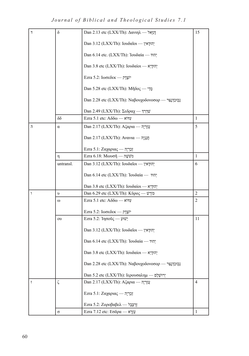# *Journal of Biblical and Theological Studies 7.1*

| $\overline{7}$ | $\delta$       | Dan 2.13 etc (LXX/Th): Δανιηλ - γινει           | 15             |
|----------------|----------------|-------------------------------------------------|----------------|
|                |                | Dan 3.12 (LXX/Th): Ιουδαΐοι — γιτιτ             |                |
|                |                | Dan 6.14 etc. (LXX/Th): Ἰουδαία — 717;          |                |
|                |                | Dan 3.8 etc (LXX/Th): Ιουδαίοι — κτιτική        |                |
|                |                | Ezra 5.2: Ιωσεδεκ - γι:                         |                |
|                |                | Dan 5.28 etc (LXX/Th): Μῆδος - φτ               |                |
|                |                | Dan 2.28 etc (LXX/Th): Ναβουχοδονοσορ - μετεξερ |                |
|                |                | Dan 2.49 (LXX/Th): Σεδραχ — שַׁדְרַדִּ          |                |
|                | $\delta\delta$ | Ezra 5.1 etc: $A\delta\delta\omega$ — עדוא      | $\mathbf{1}$   |
| $\overline{1}$ | $\alpha$       | Dan 2.17 (LXX/Th): Αζαρια — אֲזַרְיָה           | 5              |
|                |                | Dan 2.17 (LXX/Th): Avavia — הַנַנְיָה           |                |
|                |                | Ezra 5.1: Ζαχαριας — קַבַּרְיָה                 |                |
|                | η              | Ezra 6.18: Μωυσῆ — πψΰν                         | $\mathbf{1}$   |
|                | untransl.      | Dan 3.12 (LXX/Th): Ιουδαΐοι — γιτιτρ            | 6              |
|                |                | Dan 6.14 etc (LXX/Th): Ἰουδαία — יְהוּד         |                |
|                |                | Dan 3.8 etc (LXX/Th): Ιουδαίοι — κτιτική        |                |
| ٦              | υ              | Dan 6.29 etc (LXX/Th): Κύρος — שׁנֹרָשׁ         | $\overline{2}$ |
|                | $\omega$       | Ezra 5.1 etc: $A\delta\delta\omega$ — עדוא      | 2              |
|                |                | Ezra 5.2: Ιωσεδεκ - γι:                         |                |
|                | oυ             | Ezra 5.2: עשוע - היסס                           | 11             |
|                |                | Dan 3.12 (LXX/Th): Ιουδαΐοι — γιτιτ             |                |
|                |                | Dan 6.14 etc (LXX/Th): Ἰουδαία — γιπγ           |                |
|                |                | Dan 3.8 etc (LXX/Th): Ιουδαίοι — κτιτική        |                |
|                |                | Dan 2.28 etc (LXX/Th): Ναβουχοδονοσορ - "       |                |
|                |                | Dan 5.2 etc (LXX/Th): Ιερουσαλημ — יְרוּשָׁלֶם  |                |
| $\overline{1}$ | ζ              | Dan 2.17 (LXX/Th): Αζαρια — אַזַרְיָה           | $\overline{4}$ |
|                |                | Ezra 5.1: Ζαχαριας - πρη                        |                |
|                |                | Ezra 5.2: Ζοροβαβελ — כְּבָל                    |                |
|                | Q              | Ezra 7.12 etc: Εσδρα — עֲזָרָא                  | 1              |
|                |                |                                                 |                |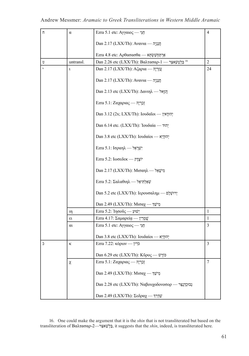| Π         | $\alpha$  | Ezra 5.1 etc: Αγγαιος - γιπ                            | $\overline{4}$ |
|-----------|-----------|--------------------------------------------------------|----------------|
|           |           | Dan 2.17 (LXX/Th): Ανανια — πιιτρ                      |                |
|           |           | Ezra 4.8 etc: Αρθασασθα — אֲרְתַּחְשֵׁשְׂתָא           |                |
| υ         | untransl. | Dan 2.26 etc (LXX/Th): Βαλτασαρ-1 — בַּלְטְשֵׁאצַר     | $\overline{2}$ |
|           | ι         | Dan 2.17 (LXX/Th): Αζαρια — אֲזַרְיָה                  | 24             |
|           |           | Dan 2.17 (LXX/Th): Avavia — חֲנַנְיָה                  |                |
|           |           | Dan 2.13 etc (LXX/Th): Δανιηλ - Στιν                   |                |
|           |           | Ezra 5.1: Ζαχαριας — קַבַּרְיָה                        |                |
|           |           | Dan 3.12 (2x; LXX/Th): Ιουδαΐοι - γιτική               |                |
|           |           | Dan 6.14 etc. (LXX/Th): Ἰουδαία — אָהוּד               |                |
|           |           | Dan 3.8 etc (LXX/Th): Ιουδαίοι — κτιτική               |                |
|           |           | Ezra 5.1: Ισραηλ — אֶיֶרְאֵל                           |                |
|           |           | Ezra 5.2: Ιωσεδεκ - γιετρ                              |                |
|           |           | Dan 2.17 (LXX/Th): Μισαηλ - מִישָׁאֵל                  |                |
|           |           | Ezra 5.2: Σαλαθιηλ — אַאַלְתִּיאֱל                     |                |
|           |           | Dan 5.2 etc (LXX/Th): Ιερουσαλημ — יְרוּשְׁלֶם         |                |
|           |           | Dan 2.49 (LXX/Th): Μισαχ — מֵישֵׁךְ                    |                |
|           | ıη        | Ezra 5.2: Ἰησοῦς — יָשׁוּעַ                            | $\mathbf{1}$   |
|           | ει        | Ezra 4.17: Σαμαρεί $\alpha$ — ψειτε                    | 1              |
|           | αι        | Ezra 5.1 etc: Αγγαιος - γιπ                            | 3              |
|           |           | Dan 3.8 etc (LXX/Th): Ιουδαίοι — יְהוּדָיָא            |                |
| $\supset$ | κ         | $\text{Exra } 7.22$ : גּרִין $\sim$ κόρων              | $\mathfrak{Z}$ |
|           |           | Dan 6.29 etc (LXX/Th): Κύρος — שׁנֹרָשׁ                |                |
|           | χ         | Ezra 5.1: Ζαχαριας — קַבְרְיָה                         | 7              |
|           |           | Dan 2.49 (LXX/Th): Μισαχ — מֵישַׁךְ                    |                |
|           |           | Dan 2.28 etc (LXX/Th): Ναβουχοδονοσορ — נְבוּכַדְנֶצַר |                |
|           |           | Dan 2.49 (LXX/Th): Σεδραχ — ψ                          |                |

16. One could make the argument that it is the *shin* that is not transliterated but based on the transliteration of Bαλτασαρ-2—רַצּאַשְׁלֵבּ, it suggests that the *shin*, indeed, is transliterated here.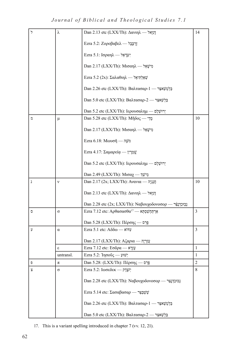*Journal of Biblical and Theological Studies 7.1*

| $\overline{z}$ | λ         | Dan 2.13 etc (LXX/Th): Δανιηλ - "                             | 14             |
|----------------|-----------|---------------------------------------------------------------|----------------|
|                |           | Ezra 5.2: Ζοροβαβελ — זְרֻבָּבָל                              |                |
|                |           | Ezra 5.1: Ισραηλ - מֵעֲרָאֵל                                  |                |
|                |           | Dan 2.17 (LXX/Th): Μισαηλ - "φι                               |                |
|                |           | Ezra 5.2 (2x): Σαλαθιηλ — νηλεγίν                             |                |
|                |           | Dan 2.26 etc (LXX/Th): Βαλτασαρ-1 — בַּלְטְשֵׁאצַר            |                |
|                |           | Dan 5.0 etc (LXX/Th): Βαλτασαρ-2 — בֶּלְשֵׁאצַר               |                |
|                |           | Dan 5.2 etc (LXX/Th): Ιερουσαλημ — יְרוּשֶׁלֶם                |                |
| D              | μ         | Dan 5.28 etc (LXX/Th): Μῆδος - φ                              | 10             |
|                |           | Dan 2.17 (LXX/Th): Μισαηλ - "φι                               |                |
|                |           | Ezra 6.18: Μωυσῆ — מֹשֶׁה                                     |                |
|                |           | Ezra 4.17: Σαμαρεία — ψειτρι                                  |                |
|                |           | Dan 5.2 etc (LXX/Th): Ιερουσαλημ — יְרוּשָׁלֶם                |                |
|                |           | Dan 2.49 (LXX/Th): Μισαχ — מֵישַׁךְ                           |                |
| ı              | ν         | Dan 2.17 (2x; LXX/Th): Avavia — חֲנַנְיָה                     | 10             |
|                |           | Dan 2.13 etc (LXX/Th): Δανιηλ — τεχνί                         |                |
|                |           | Dan 2.28 etc (2x; LXX/Th): Ναβουχοδονοσορ — נְבְוּכַדְנֶצֵּׁר |                |
| O              | $\sigma$  | Ezra 7.12 etc: Αρθασασθα <sup>17</sup> — «Στρψηπη             | 3              |
|                |           | Dan 5.28 (LXX/Th): Πέρσης — פָרַם                             |                |
| У              | $\alpha$  | Ezra 5.1 etc: $A\delta\delta\omega$ — עדוא                    | 3              |
|                |           | Dan 2.17 (LXX/Th): Αζαρια — אֲזַרְיָה                         |                |
|                | ε         | Ezra 7.12 etc: Εσδρα — עֶּזְרָא                               | $\mathbf{1}$   |
|                | untransl. | Ezra 5.2: Ἰησοῦς — יָשׁוּעַ                                   | $\mathbf{1}$   |
| Đ              | π         | Dan 5.28: (LXX/Th): Πέρσης - φ                                | $\overline{2}$ |
| 7              | $\sigma$  | Ezra 5.2: Ιωσεδεκ - ρτιχή                                     | 8              |
|                |           | Dan 2.28 etc (LXX/Th): Ναβουχοδονοσορ — נְבוּכַדְנָצַר        |                |
|                |           | Εzra 5.14 etc: Σασαβασαρ — שָׁשָׁבַצַּר                       |                |
|                |           | Dan 2.26 etc (LXX/Th): Βαλτασαρ-1 — בַּלְטְשֵׁאצַר            |                |
|                |           | Dan 5.0 etc (LXX/Th): Βαλτασαρ-2 — בֶּלְשֵׁאצַר               |                |

17. This is a variant spelling introduced in chapter 7 (vv. 12, 21).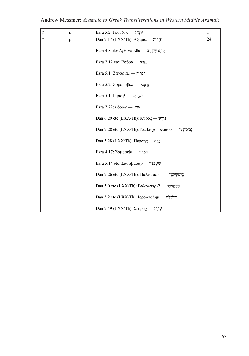| $\overline{P}$ | ĸ      | Εzra 5.2: Ιωσεδεκ - ρτιχίν                              | $\mathbf{1}$ |
|----------------|--------|---------------------------------------------------------|--------------|
| ר              | $\rho$ | Dan 2.17 (LXX/Th): Αζαρια — אֲזַרְיָה                   | 24           |
|                |        | Ezra 4.8 etc: Αρθασασθα — κηψψηπηκ                      |              |
|                |        | Ezra 7.12 etc: Εσδρα — עֵזְרָא                          |              |
|                |        | Ezra 5.1: Ζαχαριας - περ                                |              |
|                |        | Ezra 5.2: Ζοροβαβελ — <i>Ι</i> περ                      |              |
|                |        | Ezra 5.1: Ισραηλ — אֶיָרָאֱל                            |              |
|                |        | Ezra 7.22: κόρων - "כְּרִין                             |              |
|                |        | Dan 6.29 etc (LXX/Th): K $\tilde{v}$ poc — פוֹרֵשׁ      |              |
|                |        | Dan 2.28 etc (LXX/Th): Ναβουχοδονοσορ — נִבְוּכַדְנָצֵר |              |
|                |        | Dan 5.28 (LXX/Th): Πέρσης — פְרַס                       |              |
|                |        | Ezra 4.17: Σαμαρεία — ψυ                                |              |
|                |        | Ezra 5.14 etc: Σασαβασαρ — "ψψ                          |              |
|                |        | Dan 2.26 etc (LXX/Th): Βαλτασαρ-1 — בַּלְטְשֵׁאצַר      |              |
|                |        | Dan 5.0 etc (LXX/Th): Βαλτασαρ-2 - ΣΥΨΆΣ                |              |
|                |        | Dan 5.2 etc (LXX/Th): Ιερουσαλημ — יְרוּשָׁלֶם          |              |
|                |        | Dan 2.49 (LXX/Th): Σεδραχ — ψτην                        |              |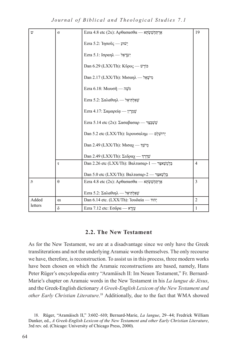*Journal of Biblical and Theological Studies 7.1*

| U)             | σ        | Ezra 4.8 etc (2x): Αρθασασθα — κηψψητηκ            | 19             |
|----------------|----------|----------------------------------------------------|----------------|
|                |          | Ezra 5.2: Ἰησοῦς — עָשׁוּעַ                        |                |
|                |          | Ezra 5.1: Ισραηλ - "Ψί                             |                |
|                |          | Dan 6.29 (LXX/Th): Κῦρος — לוֹרֵשׁ                 |                |
|                |          | Dan 2.17 (LXX/Th): Μισαηλ - מִישָׁאֵל              |                |
|                |          | $Ezra 6.18$ : Movo $\tilde{\eta}$ — מֹשֶׁה         |                |
|                |          | Ezra 5.2: Σαλαθιηλ — אַאַלְתִּיאֱל                 |                |
|                |          | Ezra 4.17: Σαμαρεία — ψ                            |                |
|                |          | Ezra 5.14 etc (2x): Σασαβασαρ — "ψψ                |                |
|                |          | Dan 5.2 etc (LXX/Th): Ιερουσαλημ — יְרוּשֶׁלֵם     |                |
|                |          | Dan 2.49 (LXX/Th): Μισαχ — מֵישַׁךְ                |                |
|                |          | Dan 2.49 (LXX/Th): Σεδραχ — ψτυ                    |                |
|                | τ        | Dan 2.26 etc (LXX/Th): Βαλτασαρ-1 — בַּלְטְשֵׁאצַר | $\overline{4}$ |
|                |          | Dan 5.0 etc (LXX/Th): Βαλτασαρ-2 — בֵּלְשֵׁאצַר    |                |
| $\overline{D}$ | $\theta$ | Ezra 4.8 etc (2x): Αρθασασθα — κηψψητηκ            | 3              |
|                |          | Ezra 5.2: Σαλαθιηλ - מַאֲלְתִּיאֱל                 |                |
| Added          | $\alpha$ | Dan 6.14 etc. (LXX/Th): Ἰουδαία — יהוד             | $\overline{2}$ |
| letters        | $\delta$ | Ezra 7.12 etc: Εσδρα — עֵזְרָא                     | $\mathbf{1}$   |

### **2.2. The New Testament**

As for the New Testament, we are at a disadvantage since we only have the Greek transliterations and not the underlying Aramaic words themselves. The only recourse we have, therefore, is reconstruction. To assist us in this process, three modern works have been chosen on which the Aramaic reconstructions are based, namely, Hans Peter Rüger's encyclopedia entry "Aramäisch II: Im Neuen Testament," Fr. Bernard-Marie's chapter on Aramaic words in the New Testament in his *La langue de Jésus*, and the Greek-English dictionary *A Greek-English Lexicon of the New Testament and other Early Christian Literature*. 18 Additionally, due to the fact that WMA showed

<sup>18</sup>. Rüger, "Aramäisch II," 3:602–610; Bernard-Marie, *La langue*, 29–44; Fredrick William Danker, ed., *A Greek-English Lexicon of the New Testament and other Early Christian Literature*, 3rd rev. ed. (Chicago: University of Chicago Press, 2000).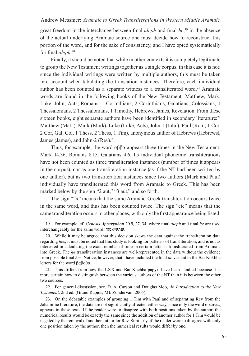#### Andrew Messmer: *Aramaic to Greek Transliterations in Western Middle Aramaic*

great freedom in the interchange between final *aleph* and final *he*, 19 in the absence of the actual underlying Aramaic source one must decide how to reconstruct this portion of the word, and for the sake of consistency, and I have opted systematically for final *aleph*. 20

Finally, it should be noted that while in other contexts it is completely legitimate to group the New Testament writings together as a single corpus, in this case it is not: since the individual writings were written by multiple authors, this must be taken into account when tabulating the translation instances. Therefore, each individual author has been counted as a separate witness to a transliterated word.<sup>21</sup> Aramaic words are found in the following books of the New Testament: Matthew, Mark, Luke, John, Acts, Romans, 1 Corinthians, 2 Corinthians, Galatians, Colossians, 1 Thessalonians, 2 Thessalonians, 1 Timothy, Hebrews, James, Revelation. From these sixteen books, eight separate authors have been identified in secondary literature:<sup>22</sup> Matthew (Matt.), Mark (Mark), Luke (Luke, Acts), John-1 (John), Paul (Rom, 1 Cor, 2 Cor, Gal, Col, 1 Thess, 2 Thess, 1 Tim), anonymous author of Hebrews (Hebrews), James (James), and John-2 (Rev).<sup>23</sup>

Thus, for example, the word αββα appears three times in the New Testament: Mark 14.36; Romans 8.15; Galatians 4.6. Its individual phonemic transliterations have not been counted as three transliteration instances (number of times it appears in the corpus), nor as one transliteration instance (as if the NT had been written by one author), but as two transliteration instances since two authors (Mark and Paul) individually have transliterated this word from Aramaic to Greek. This has been marked below by the sign "2 aut," "3 aut," and so forth.

The sign "2x" means that the same Aramaic-Greek transliteration occurs twice in the same word, and thus has been counted twice. The sign "etc" means that the same transliteration occurs in other places, with only the first appearance being listed.

19. For example, cf. *Genesis Apocryphon* 20.9, 27, 34, where final *aleph* and final *he* are used interchangeably for the same word, אנתה//אנתא.

20. While it may be argued that this decision skews the data against the transliteration data regarding *he*s, it must be noted that this study is looking for patterns of transliteration, and is not as interested in calculating the exact number of times a certain letter is transliterated from Aramaic into Greek. The *he* transliteration instances are well-represented in the data without the evidence from possible final *he*s. Notice, however, that I have included the final *he* variant in the Bar Kokhba letters for the word βαβαθα.

21. This differs from how the LXX and Bar Kochba papyri have been handled because it is more certain how to distinguish between the various authors of the NT than it is between the other two sources.

22. For general discussion, see. D. A. Carson and Douglas Moo, *An Introduction to the New Testament*, 2nd ed. (Grand Rapids, MI: Zondervan, 2005).

23. On the debatable examples of grouping 1 Tim with Paul and of separating Rev from the Johannine literature, the data are not significantly affected either way, since only the word σατανας appears in these texts. If the reader were to disagree with both positions taken by the author, the numerical results would be exactly the same since the addition of another author for 1 Tim would be negated by the removal of another author for Rev. Similarly, if the reader were to disagree with only one position taken by the author, then the numerical results would differ by one.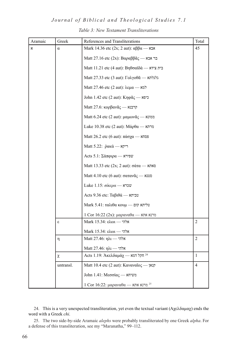#### *Journal of Biblical and Theological Studies 7.1*

| Aramaic | Greek     | References and Transliterations                                                  | Total          |
|---------|-----------|----------------------------------------------------------------------------------|----------------|
| x       | $\alpha$  | Mark 14.36 etc (2x; 2 aut): $\alpha\beta\beta\alpha$ - אבא                       | 45             |
|         |           | Matt 27.16 etc (2x): Βαραββ $\tilde{\alpha}$ ς — בר אבא                          |                |
|         |           | Matt 11.21 etc (4 aut): Βηθσαϊδά — בית צידא                                      |                |
|         |           | Matt 27.33 etc (3 aut): Γολγοθά — κήλτ                                           |                |
|         |           | Matt 27.46 etc (2 aut): λεμα - למא                                               |                |
|         |           | John 1.42 etc (2 aut): Κηφᾶς — כיפא                                              |                |
|         |           | Matt 27.6: κορβανᾶς — קרבנא                                                      |                |
|         |           | Matt 6.24 etc (2 aut): μαμωνᾶς — ממונא                                           |                |
|         |           | Luke 10.38 etc (2 aut): Μάρθα — מרתא                                             |                |
|         |           | Matt 26.2 etc (6 aut): πάσχα — פסחא                                              |                |
|         |           | Matt 5.22: ρακά - Γερν                                                           |                |
|         |           | Acts 5.1: Σάπφιρα — wσιτ                                                         |                |
|         |           | Matt 13.33 etc (2x; 2 aut): $\sigma \dot{\alpha} \tau \alpha$ — סאתא             |                |
|         |           | Matt 4.10 etc (6 aut): σαταν $\tilde{\alpha}$ ς — κυσ                            |                |
|         |           | Luke 1.15: $\sigma$ וכרא $\alpha$                                                |                |
|         |           | $\det$ 9.36 etc: Tαβιθά — טבית                                                   |                |
|         |           | $Mark 5.41$ : ταλιθα κουμ - αρχής φι                                             |                |
|         |           | $1 \text{ Cor } 16:22 \text{ (2x)}$ : מרנא אתא $\alpha \rightarrow \alpha$ מעמים |                |
|         | ε         | Mark 15.34: ελωι — אלהי                                                          | $\overline{2}$ |
|         |           | Mark 15.34: ελωι - γπλ                                                           |                |
|         | η         | אלהי — Matt 27.46: ηλι                                                           | $\overline{2}$ |
|         |           | אלהי — Matt 27.46: ηλι                                                           |                |
|         | χ         | Acts 1.19: Άκελδαμάχ — Σ <sup>24</sup>                                           | $\mathbf{1}$   |
|         | untransl. | Matt 10.4 etc (2 aut): Καναναΐος - γικρ                                          | $\overline{4}$ |
|         |           | משיחא — John 1.41: Μεσσίας                                                       |                |
|         |           | 1 Cor 16:22: μαραναθα — מרנא את <sup>25</sup>                                    |                |

#### *Table 3: New Testament Transliterations*

24. This is a very unexpected transliteration, yet even the textual variant (Αχελδαμαχ) ends the word with a Greek *chi*.

25. The two side-by-side Aramaic *alephs* were probably transliterated by one Greek *alpha*. For a defense of this transliteration, see my "Maranatha," 99–112.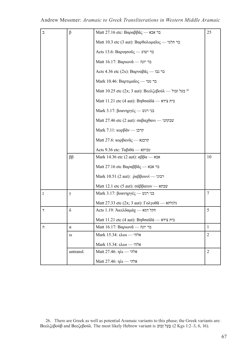| $\mathbf{r}$   | β            | Matt 27.16 etc: Βαραββ $\tilde{\alpha}_{\zeta}$ — בר אבא          | 25             |
|----------------|--------------|-------------------------------------------------------------------|----------------|
|                |              | Matt 10.3 etc (3 aut): Βαρθολομαῖος — בר תלמי                     |                |
|                |              | Acts 13.6: Βαριησούς — בר ישוע                                    |                |
|                |              | Matt 16.17: Βαριων $\tilde{\alpha}$ — בר יונה                     |                |
|                |              | Acts 4.36 etc (2x): Βαρναβ $\tilde{\alpha}$ ς — בר נבו            |                |
|                |              | Mark 10.46: Βαρτιμαΐος — בר טמי                                   |                |
|                |              | Matt 10.25 etc (2x; 3 aut): Βεελζεβούλ — בעל זבול 26              |                |
|                |              | Matt 11.21 etc (4 aut): Βηθσαϊδά — בית צידא                       |                |
|                |              | Mark 3.17: βοανηργές — בני רגש                                    |                |
|                |              | Matt 27.46 etc (2 aut): σαβαχθανι — "μετρι"                       |                |
|                |              | Mark 7.11: κορβαν - קרבן                                          |                |
|                |              | Matt 27.6: κορβανᾶς - Απει                                        |                |
|                |              | Acts 9.36 etc: Ta $\beta$ וביתא $\dot{\alpha}$                    |                |
|                | $\beta\beta$ | Mark 14.36 etc (2 aut): $\alpha\beta\beta\alpha$ - $\alpha\alpha$ | 10             |
|                |              | Matt 27.16 etc Βαραββ $\tilde{\alpha}$ ς — בר אבא                 |                |
|                |              | Mark 10.51 (2 aut): $ρ̇αββ$ ovvί — Γειν                           |                |
|                |              | Matt 12.1 etc (5 aut): σάββατον — $w =$                           |                |
| λ              | γ            | Mark 3.17: βοανηργές — ειν Γκ                                     | 7              |
|                |              | Matt 27.33 etc (2x; 3 aut): Γολγοθά - κήτες                       |                |
| 7              | $\delta$     | Acts 1.19: Άκελδαμάχ - κατ' τη                                    | 5              |
|                |              | Matt 11.21 etc (4 aut): Βηθσαϊδά — בית צידא                       |                |
| $\overline{1}$ | $\alpha$     | Matt 16.17: Βαριων $\tilde{\alpha}$ — בר יונה                     | $\mathbf{1}$   |
|                | $\omega$     | Mark 15.34: ελωι - γπλ                                            | 2              |
|                |              | Mark 15.34: ελωι — אלהי                                           |                |
|                | untransl.    | Matt 27.46: ηλι - γλτ                                             | $\overline{2}$ |
|                |              | $Matt 27.46: \eta \lambda \iota$ אלהי                             |                |

26. There are Greek as well as potential Aramaic variants to this phase; the Greek variants are: Bεελζεβούβ and Βεεζεβούλ. The most likely Hebrew variant is  $2Kgs 1:2-3, 6, 16$ ).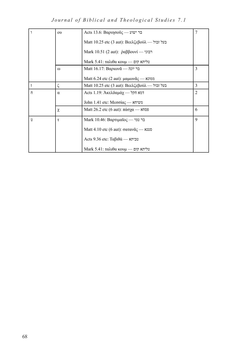*Journal of Biblical and Theological Studies 7.1*

|                | $_{\text{ov}}$ | Acts 13.6: Βαριησοῦς — בר ישוע                                    | 7              |
|----------------|----------------|-------------------------------------------------------------------|----------------|
|                |                | Matt 10.25 etc (3 aut): Βεελζεβούλ — בעל זבול                     |                |
|                |                | Mark 10.51 (2 aut): $\dot{\rho} \alpha \beta \beta$ ovi — רבוני   |                |
|                |                | $M$ ark 5.41: ταλιθα κουμ — שליתא קום                             |                |
|                | $\omega$       | Matt 16.17: Βαριων $\tilde{\alpha}$ — בר יונה                     | 3              |
|                |                | Matt 6.24 etc (2 aut): μαμων $\tilde{\alpha}_{\zeta}$ — ממונא     |                |
| $\overline{1}$ | ζ              | Matt 10.25 etc (3 aut): Βεελζεβούλ — בעל זבול                     | 3              |
| $\overline{u}$ | $\alpha$       | Acts 1.19: Ακελδαμάχ - דמא חקל                                    | $\overline{c}$ |
|                |                | $John 1.41$ etc: Μεσσίας — משיחא                                  |                |
|                | χ              | Matt 26.2 etc (6 aut): $\pi\dot{\alpha}\sigma\gamma\alpha$ — פסחא | 6              |
| υ              | τ              | $Mark$ 10.46: Βαρτιμαῖος — בר טמי                                 | 9              |
|                |                | $\text{Matt }4.10 \text{ etc } (6 \text{ aut})$ : σατανᾶς — סטנא  |                |
|                |                | Acts 9.36 etc: T $\alpha\beta\alpha\beta\alpha$                   |                |
|                |                | $M$ ark 5.41: ταλιθα κουμ — שליתא קום                             |                |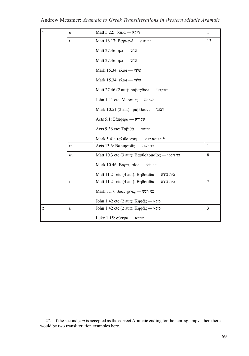| [,             | α        | Matt 5.22: ρακά - Γερν                         | $\mathbf{1}$   |
|----------------|----------|------------------------------------------------|----------------|
|                | ı        | Matt 16.17: Βαριων $\tilde{\alpha}$ — בר יונה  | 13             |
|                |          | Matt 27.46: ηλι - γλτ                          |                |
|                |          | Matt 27.46: ηλι - γλτ                          |                |
|                |          | Mark 15.34: ελωι - γπλ                         |                |
|                |          | Mark 15.34: ελωι — אלהי                        |                |
|                |          | Matt 27.46 (2 aut): σαβαχθανι - "              |                |
|                |          | John 1.41 etc: Μεσσίας — משיחא                 |                |
|                |          | Mark 10.51 (2 aut): $ρ̇αββ$ ovvί — Γειν        |                |
|                |          | $Acts$ 5.1: Σάπφιρα — שפירא                    |                |
|                |          | Acts 9.36 etc: Ta $\beta$ וביתא $\dot{\alpha}$ |                |
|                |          | Mark 5.41: ταλιθα κουμ — קום 27                |                |
|                | ıη       | Acts 13.6: Βαριησούς — בר ישוע                 | $\overline{1}$ |
|                | $\alpha$ | Matt 10.3 etc (3 aut): Βαρθολομαῖος — בר תלמי  | 8              |
|                |          | Mark 10.46: Βαρτιμαΐος — בר טמי                |                |
|                |          | Matt 11.21 etc (4 aut): Βηθσαϊδά — בית צידא    |                |
|                | η        | Matt 11.21 etc (4 aut): Βηθσαϊδά — בית צידא    | $\tau$         |
|                |          | Mark 3.17: βοανηργές — בני רגש                 |                |
|                |          | John 1.42 etc (2 aut): Κηφᾶς — כיפא            |                |
| $\overline{a}$ | ĸ        | John 1.42 etc (2 aut): Κηφᾶς — כיפא            | $\overline{3}$ |
|                |          | Luke 1.15: $\sigma$ וכרא — Luke 1.15           |                |

27. If the second *yod* is accepted as the correct Aramaic ending for the fem. sg. impv., then there would be two transliteration examples here.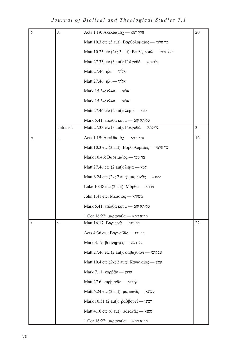*Journal of Biblical and Theological Studies 7.1*

| $\overline{z}$ | λ         | Acts 1.19: Άκελδαμάχ - πητ' τη                                     | 20             |
|----------------|-----------|--------------------------------------------------------------------|----------------|
|                |           | Matt 10.3 etc (3 aut): Βαρθολομαῖος — בר תלמי                      |                |
|                |           | Matt 10.25 etc (2x; 3 aut): Βεελζεβούλ — בעל זבול                  |                |
|                |           | Matt 27.33 etc (3 aut): Γολγοθά — κάκτακ                           |                |
|                |           | Matt 27.46: ηλι — אלהי                                             |                |
|                |           | Matt 27.46: ηλι — אלהי                                             |                |
|                |           | $Mark 15.34$ : $\epsilon \lambda \omega \iota$ $\rightarrow$ האלהי |                |
|                |           | Mark 15.34: ελωι - γπλ                                             |                |
|                |           | Matt 27.46 etc (2 aut): λεμα - למא                                 |                |
|                |           | $Mark 5.41$ : παλιθα κουμ — שליתא קום                              |                |
|                | untransl. | Matt 27.33 etc (3 aut): Γολγοθά — κτίκτηκ                          | $\overline{3}$ |
| 7)             | μ         | Acts 1.19: Άκελδαμάχ - πητ' τακ                                    | 16             |
|                |           | Matt 10.3 etc (3 aut): Βαρθολομαΐος — τη πέση                      |                |
|                |           | Mark 10.46: Βαρτιμαΐος — בר טמי                                    |                |
|                |           | Matt 27.46 etc (2 aut): λεμα - למא                                 |                |
|                |           | Matt 6.24 etc (2x; 2 aut): μαμωνᾶς - ασι                           |                |
|                |           | Luke 10.38 etc (2 aut): Μάρθα — מרתא                               |                |
|                |           | John 1.41 etc: Μεσσίας - κυννη                                     |                |
|                |           | $Mark 5.41$ : παλιθα κουμ — שליתא קום                              |                |
|                |           | 1 Cor 16:22: μαραναθα — מרנא אתא                                   |                |
| 1              | ν         | Matt 16.17: Βαριων $\tilde{\alpha}$ — בר יונה                      | 22             |
|                |           | Acts 4:36 etc: Βαρναβ $\tilde{\alpha}$ ς — בר נבו                  |                |
|                |           | Mark 3.17: βοανηργές — בני רגש                                     |                |
|                |           | Matt 27.46 etc (2 aut): σαβαχθανι - "                              |                |
|                |           | Matt 10.4 etc (2x; 2 aut): Καναναΐος - γικη                        |                |
|                |           | Mark 7.11: κορβάν - קרבן                                           |                |
|                |           | Matt 27.6: κορβανᾶς - Απειλ                                        |                |
|                |           | Matt 6.24 etc (2 aut): μαμωνᾶς — ασιτικ                            |                |
|                |           | Mark 10.51 (2 aut): $ρ̇αββ$ ovvί — רבוני                           |                |
|                |           | Matt 4.10 etc (6 aut): σαταν $\tilde{\alpha}$ ς — κυσ              |                |
|                |           | 1 Cor 16:22: μαραναθα — מרנא אתא                                   |                |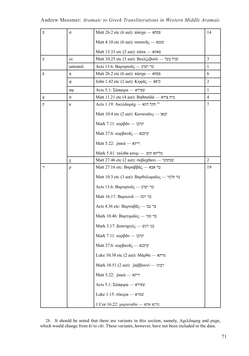| O              | $\sigma$  | Matt 26.2 etc (6 aut): πάσχα — ασπ                                      | 14             |
|----------------|-----------|-------------------------------------------------------------------------|----------------|
|                |           | Matt 4.10 etc (6 aut): σαταν $\tilde{\alpha}$ ς — κυσ                   |                |
|                |           | Matt 13.33 etc (2 aut): $\sigma \dot{\alpha} \tau \alpha$ - $\alpha$    |                |
| y              | 33        | Matt 10.25 etc (3 aut): Βεελζεβούλ — זבול בעל                           | 3              |
|                | untransl. | Acts 13.6: Βαριησοῦς — בר ישוע                                          | 1              |
| Đ              | π         | Matt 26.2 etc (6 aut): πάσχα — פסחא                                     | 6              |
|                | φ         | John 1.42 etc (2 aut): Κηφᾶς — כיפא                                     | $\overline{2}$ |
|                | πφ        | $Acts 5.1: \Sigma \land \pi \phi \psi \alpha \longrightarrow \Psi$ פירא | 1              |
| Х              | $\sigma$  | Matt 11.21 etc (4 aut): Βηθσαϊδά — בית צידא                             | $\overline{4}$ |
| $\overline{P}$ | κ         | Acts 1.19: Άκελδαμάχ - Σεπ 28                                           | 7              |
|                |           | Matt 10.4 etc (2 aut): Καναναΐος - γικιρ                                |                |
|                |           | Mark 7.11: κορβαν - קרבן                                                |                |
|                |           | Matt 27.6: κορβανᾶς — קרבנא                                             |                |
|                |           | Matt 5.22: ρακά - N7                                                    |                |
|                |           | Mark 5.41: ταλιθα κουμ - φτίνη φι                                       |                |
|                | χ         | Matt 27.46 etc (2 aut): σαβαχθανι — "μετρι"                             | $\overline{2}$ |
| ٦              | $\rho$    | Matt 27.16 etc: Βαραββ $\tilde{\alpha}_{\varsigma}$ — בר אבא            | 19             |
|                |           | Matt 10.3 etc (3 aut): Βαρθολομαῖος — בר תלמי                           |                |
|                |           | Acts 13.6: Βαριησούς — בר ישוע                                          |                |
|                |           | Matt 16.17: Βαριων $\tilde{\alpha}$ — בר יונה                           |                |
|                |           | Acts 4.36 etc: Βαρναβ $\tilde{\alpha}_{\varsigma}$ — בר נבו             |                |
|                |           | Mark 10.46: Βαρτιμαΐος — בר טמי                                         |                |
|                |           | Mark 3.17: βοανηργές - ων Γεν                                           |                |
|                |           | Mark 7.11: κορβαν - קרבן                                                |                |
|                |           | Matt 27.6: κορβανᾶς — קרבנא                                             |                |
|                |           | Luke 10.38 etc (2 aut): Μάρθα — מרתא                                    |                |
|                |           | Mark 10.51 (2 aut): ραββουνί — Γειν                                     |                |
|                |           | Matt 5.22: ρακά - κρη                                                   |                |
|                |           | Acts 5.1: Σάπφιρα — worr                                                |                |
|                |           | Luke 1.15: $\sigma$ וכרא — עכרא                                         |                |
|                |           | 1 Cor 16:22: μαραναθα — מרנא את                                         |                |

28. It should be noted that there are variants in this section, namely, Αχελδαμαχ and ραχα, which would change from *ki* to *chi*. These variants, however, have not been included in the data.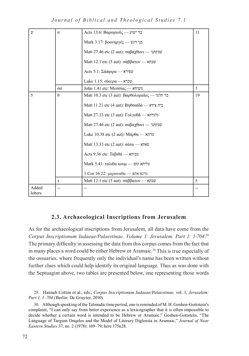*Journal of Biblical and Theological Studies 7.1*

| $\mathbf{v}$     | σ        | Acts 13.6: Βαριησούς — בר ישוע                                                     | 11           |
|------------------|----------|------------------------------------------------------------------------------------|--------------|
|                  |          | Mark 3.17: βοανηργές — ειν Γκ                                                      |              |
|                  |          | Matt 27.46 etc (2 aut): σαβαχθανι - "                                              |              |
|                  |          | Matt 12.1 etc (5 aut): σάββατον — $w = w$                                          |              |
|                  |          | $Acts$ 5.1: Σάπφιρα — שפירא                                                        |              |
|                  |          | $Luke 1.15$ : שכרא $\alpha$ - שכרא                                                 |              |
|                  | σσ       | John 1.41 etc: Μεσσίας — משיחא                                                     | $\mathbf{1}$ |
| $\Gamma$         | $\theta$ | Matt 10.3 etc (3 aut): Βαρθολομαῖος — בר תלמי                                      | 19           |
|                  |          | Matt 11.21 etc (4 aut): Βηθσαϊδά — בית צידא                                        |              |
|                  |          | Matt 27.33 etc (3 aut): Γολγοθά — κτίκτηκ                                          |              |
|                  |          | Matt 27.46 etc (2 aut): σαβαχθανι — "                                              |              |
|                  |          | Luke 10.38 etc (2 aut): $M\dot{\alpha}\rho\theta\alpha \longrightarrow$ מרתא       |              |
|                  |          | $Matt$ 13.33 etc (2 aut): $\sigma \alpha \alpha$ - $\alpha$ אתא                    |              |
|                  |          | Acts 9.36 etc: Ta $\beta$ וביתא $\dot{\alpha}$                                     |              |
|                  |          | $Mark 5.41: \tau \alpha \lambda \iota \theta \alpha \kappa$ αשליתא קום — Μark 5.41 |              |
|                  |          | 1 Cor 16:22: μαραναθα — מרנא את                                                    |              |
|                  | τ        | Matt 12.1 etc (5 aut): σάββατον — w                                                | 5            |
| Added<br>letters | --       | --                                                                                 | --           |

# **2.3. Archaeological Inscriptions from Jerusalem**

As for the archaeological inscriptions from Jerusalem, all data have come from the *Corpus Inscriptionum Iudaeae/Palaestinae. Volume 1: Jerusalem. Part 1: 1-704*. 29 The primary difficulty in assessing the data from this corpus comes from the fact that in many places a word could be either Hebrew or Aramaic.<sup>30</sup> This is true especially of the ossuaries, where frequently only the individual's name has been written without further clues which could help identify its original language. Thus as was done with the Septuagint above, two tables are presented below, one representing those words

<sup>29</sup>. Hannah Cotton et al., eds., *Corpus Inscriptionum Iudaeae/Palaestinae,* vol. 1, *Jerusalem: Part 1, 1–704* (Berlin: De Gruyter, 2010).

<sup>30</sup>. Although speaking of the Talmudic time period, one is reminded of M. H. Goshen-Gottstein's complaint, "I can only say from bitter experience as a lexicographer that it is often impossible to decide whether a certain word is intended to be Hebrew or Aramaic." Goshen-Gottstein, "The Language of Targum Onqelos and the Model of Literary Diglossia in Aramaic," *Journal of Near Eastern Studies* 37, no. 2 (1978): 169–79, here 175n28.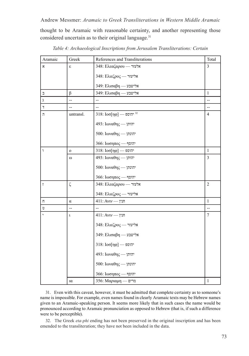thought to be Aramaic with reasonable certainty, and another representing those considered uncertain as to their original language.<sup>31</sup>

| Aramaic                 | Greek          | References and Transliterations               | Total          |
|-------------------------|----------------|-----------------------------------------------|----------------|
| x                       | ε              | 348: Ελεαζαρου - אלעזר                        | 3              |
|                         |                | אליעזר - 348: Ελιεζρος                        |                |
|                         |                | 349: Ελισαβη — אלישבע                         |                |
| E,                      | $\beta$        | 349: Ελισαβη — אלישבע                         | $\mathbf{1}$   |
| y                       | $\overline{a}$ | $\overline{a}$                                | --             |
| $\overline{1}$          | --             | $\overline{a}$                                | $\overline{a}$ |
| $\overline{a}$          | untransl.      | 318: $I$ יהוספ - $\sim$ $318$ : $I$           | $\overline{4}$ |
|                         |                | 493: Ιωναθης - γπιπ                           |                |
|                         |                | 500: Ιωναθης — יהונתן                         |                |
|                         |                | $366$ : $I\omega$ קוסף - הוסף                 |                |
| Ĭ.                      | $\mathbf{o}$   | $318$ : $Ioo[\eta\varphi]$ הוספ               | $\mathbf{1}$   |
|                         | $\omega$       | 493: Ιωναθης - γπιπ'                          | $\overline{3}$ |
|                         |                | 500: Ιωναθης — יהונתן                         |                |
|                         |                | 366: $I\omega\sigma\eta\pi$ יהוסף             |                |
| $\bar{I}$               | $\zeta$        | 348: Ελεαζαρου - אלעזר                        | $\overline{c}$ |
|                         |                | אליעזר - 348: Ελιεζρος                        |                |
| $\overline{\mathbf{u}}$ | $\alpha$       | 411: Aviv — חנין                              | $\mathbf{1}$   |
| Ú                       | $\overline{a}$ |                                               | $\overline{a}$ |
|                         | $\mathbf{t}$   | 411: Aviv — חנין                              | $\overline{7}$ |
|                         |                | אליעזר - 348: Ελιεζρος                        |                |
|                         |                | 349: Ελισαβη — אלישבע                         |                |
|                         |                | $318$ : $Ioo[\eta\varphi]$ הוספ               |                |
|                         |                | 493: Ιωναθης — γητι                           |                |
|                         |                | 500: Ιωναθης — יהונתן                         |                |
|                         |                | $366$ : $\text{Isom} \pi \text{o} \zeta$ הוסף |                |
|                         | ια             | 356: Μαριαμη — מרים                           | $\,1$          |

*Table 4: Archaeological Inscriptions from Jerusalem Transliterations: Certain*

31. Even with this caveat, however, it must be admitted that complete certainty as to someone's name is impossible. For example, even names found in clearly Aramaic texts may be Hebrew names given to an Aramaic-speaking person. It seems more likely that in such cases the name would be pronounced according to Aramaic pronunciation as opposed to Hebrew (that is, if such a difference were to be perceptible).

32. The Greek *eta-phi* ending has not been preserved in the original inscription and has been emended to the transliteration; they have not been included in the data.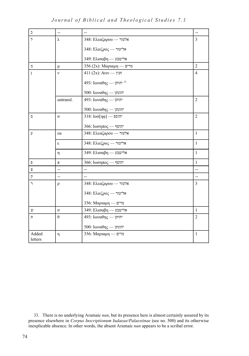*Journal of Biblical and Theological Studies 7.1*

| $\supset$        | $\overline{\phantom{0}}$ | $\overline{a}$                                 | $\overline{\phantom{0}}$ |
|------------------|--------------------------|------------------------------------------------|--------------------------|
| $\overline{5}$   | λ                        | 348: Ελεαζαρου - אלעזר                         | $\mathfrak{Z}$           |
|                  |                          | אליעזר - 348: Ελιεζρος                         |                          |
|                  |                          | 349: Ελισαβη — אלישבע                          |                          |
| D                | μ                        | 356 (2x): Μαριαμη — 256                        | $\overline{2}$           |
| $\mathbf{I}$     | $\mathbf{v}$             | $411 (2x)$ : Aviv — חנין                       | $\overline{4}$           |
|                  |                          | 493: Ιωναθης — <sup>33</sup>                   |                          |
|                  |                          | 500: Ιωναθης — יהונתן                          |                          |
|                  | untransl.                | 493: Ιωναθης — γπιπ'                           | $\overline{2}$           |
|                  |                          | $500$ : Ιωναθης — יהונתן                       |                          |
| $\overline{O}$   | $\sigma$                 | 318: $I$ והוספ $I$ - $\sim$                    | $\overline{2}$           |
|                  |                          | $366$ : $I\omega \sigma \eta \pi \sigma \zeta$ |                          |
| ÿ                | $\alpha$                 | 348: Ελεαζαρου - אלעזר                         | $\mathbf{1}$             |
|                  | ε                        | אליעזר - 348: Ελιεζρος                         | $\mathbf{1}$             |
|                  | $\eta$                   | 349: Ελισαβη — אלישבע                          | $\mathbf{1}$             |
| Đ                | $\pi$                    | 366: Ιωσηπος - יהוסף                           | $\mathbf{1}$             |
| $\mathbf x$      | $\overline{\phantom{a}}$ | $\overline{\phantom{a}}$                       | --                       |
| $\overline{P}$   | --                       |                                                | --                       |
| $\overline{1}$   | $\rho$                   | 348: Ελεαζαρου - אלעזר                         | $\overline{3}$           |
|                  |                          | אליעזר - 348: Ελιεζρος                         |                          |
|                  |                          | 356: Μαριαμη — מרים                            |                          |
| W                | $\sigma$                 | 349: Ελισαβη — אלישבע                          | $\mathbf{1}$             |
| n                | $\theta$                 | 493: Ιωναθης - γητη                            | $\overline{2}$           |
|                  |                          | 500: Ιωναθης — יהונתן                          |                          |
| Added<br>letters | η                        | 356: Μαριαμη — מרים                            | $\mathbf{1}$             |

<sup>33</sup>. There is no underlying Aramaic *nun*, but its presence here is almost certainly assured by its presence elsewhere in *Corpus Inscriptionum Iudaeae/Palaestinae* (see no. 500) and its otherwise inexplicable absence. In other words, the absent Aramaic *nun* appears to be a scribal error.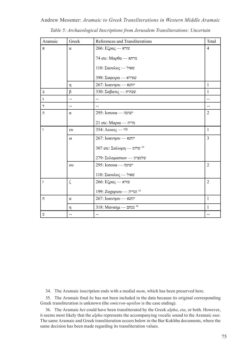| Aramaic        | Greek                    | References and Transliterations           | Total          |
|----------------|--------------------------|-------------------------------------------|----------------|
| $\mathbf{x}$   | $\alpha$                 | $266$ : $E\zeta \rho \alpha \zeta$ עזרא   | $\overline{4}$ |
|                |                          | $74$ etc: Μαρθα — מרתא                    |                |
|                |                          | $110$ : $\Sigma$ αουλος — שאול            |                |
|                |                          | 398: Σαφειρα — שפירא                      |                |
|                | η                        | 267: Ιωανηου - "                          | $\mathbf{1}$   |
| $\supset$      | $\beta$                  | 330: Σαβατις — שבתית                      | $\mathbf{1}$   |
| λ              | $\overline{\phantom{a}}$ | $-$                                       |                |
| $\overline{1}$ | $-$                      |                                           | $-$            |
| $\overline{1}$ | $\alpha$                 | $295$ : I $\epsilon$ ססס $\alpha$ - ישועה | $\overline{2}$ |
|                |                          | 21 etc: Μαρια — מריה                      |                |
| ٦              | $\epsilon$ <sup>0</sup>  | 354: Λευεις - "לוי                        | $\mathbf{1}$   |
|                | $\omega$                 | 267: Ιωανηου - אוחנא                      | $\overline{3}$ |
|                |                          | 307 etc: Σαλωμη - <sup>34</sup>           |                |
|                |                          | 279: Σελαμασιων - ψταν                    |                |
|                | $\Omega$                 | $295$ : I $\epsilon$ ועה - ישועה          | $\overline{2}$ |
|                |                          | $110$ : $\Sigma \alpha$ סאול — שאול       |                |
| $\bar{I}$      | ζ                        | $266$ : $E\zeta \rho \alpha \zeta$ עזרא   | $\overline{2}$ |
|                |                          | 199: Ζαχαριου — זכריה                     |                |
| $\overline{u}$ | $\alpha$                 | 267: Ιωανηου - אוחנא                      | $\mathbf{1}$   |
|                | η                        | 318: Μαναημ — מנחם <sup>36</sup>          | $\mathbf{1}$   |
| Ú              | $\overline{a}$           | $-$                                       | $-$            |

Andrew Messmer: *Aramaic to Greek Transliterations in Western Middle Aramaic Table 5: Archaeological Inscriptions from Jerusalem Transliterations: Uncertain*

34. The Aramaic inscription ends with a medial *mem*, which has been preserved here.

35. The Aramaic final *he* has not been included in the data because its original corresponding Greek transliteration is unknown (the *omicron-upsilon* is the case ending).

36. The Aramaic *het* could have been transliterated by the Greek *alpha*, *eta*, or both. However, it seems most likely that the *alpha* represents the accompanying vocalic sound to the Aramaic *nun*. The same Aramaic and Greek transliteration occurs below in the Bar Kokhba documents, where the same decision has been made regarding its transliteration values.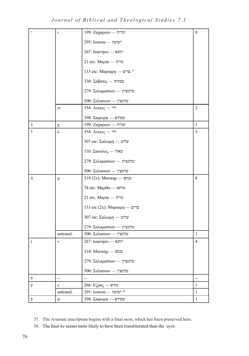*Journal of Biblical and Theological Studies 7.1*

|                | $\mathfrak{r}$ | 199: Ζαχαριου — זכריה                     | 8              |
|----------------|----------------|-------------------------------------------|----------------|
|                |                | $295$ : I $\epsilon$ ססט $\alpha$ — ישועה |                |
|                |                | 267: Ιωανηου - אוחנא                      |                |
|                |                | 21 etc: Μαρια — מריה                      |                |
|                |                | 133 etc: Μαριαμη — <sup>37</sup>          |                |
|                |                | 330: Σαβατις — <i>ην</i> οπ               |                |
|                |                | 279: Σελαμασιων - ψταν                    |                |
|                |                | $500$ : Σελασιων — שלמצין                 |                |
|                | $\epsilon$     | 354: Λευεις - "לו                         | $\overline{c}$ |
|                |                | $398$ : Σαφειρα — שפירא                   |                |
| כ              | χ              | 199: Ζαχαριου - הכריה                     | 1              |
| $\overline{z}$ | λ              | 354: Λευεις - לוי                         | 5              |
|                |                | 307 etc: Σαλωμη - "שלומ                   |                |
|                |                | $110$ : $\Sigma \alpha$ סאול -- אחול      |                |
|                |                | 279: Σελαμασιων - שלמציון                 |                |
|                |                | $500$ : Σελασιων — שלמצין                 |                |
| 70             | μ              | 318 (2x): Μαναημ — מנחם                   | 8              |
|                |                | 74 etc: Μαρθα — מרתא                      |                |
|                |                | 21 etc: Μαρια — מריה                      |                |
|                |                | 133 etc (2x): Μαριαμη — מרים              |                |
|                |                | 307 etc: Σαλωμη - ωτόν                    |                |
|                |                | 279: Σελαμασιων - שלמציון                 |                |
|                | untransl.      | 500: Σελασιων - ψταν                      | $\mathbf{1}$   |
| ı              | ν              | 267: Ιωανηου - יוחנא                      | 4              |
|                |                | 318: Μαναημ — Δ                           |                |
|                |                | 279: Σελαμασιων - ψταν                    |                |
|                |                | $500$ : Σελασιων — שלמצין                 |                |
| ο              | --             |                                           | <u></u>        |
| ÿ              | S              | $266$ : $E\zeta\rho\alpha\zeta$ עזרא      | $\mathbf{1}$   |
|                | untransl.      | $295$ : I $\epsilon$ ושועה שועה 38        | $\mathbf{1}$   |
| Đ              | $\varphi$      | 398: Σαφειρα — שפירא                      | $\mathbf{1}$   |

<sup>37</sup>. The Aramaic inscription begins with a final *mem*, which has been preserved here.

<sup>38</sup>. The final *he* seems more likely to have been transliterated than the *'ayin*.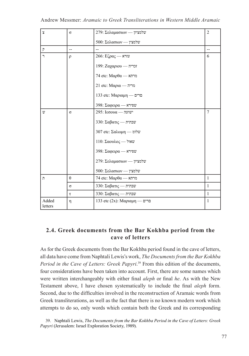| $\mathbf x$      | $\sigma$ | 279: Σελαμασιων - ψταν                   | $\overline{2}$ |
|------------------|----------|------------------------------------------|----------------|
|                  |          |                                          |                |
|                  |          | 500: Σελασιων — ψέαντ                    |                |
| $\overline{P}$   | $-$      |                                          |                |
| $\mathcal{L}$    | $\rho$   | $266$ : $E\zeta \rho \alpha \zeta$ עזרא  | 6              |
|                  |          | 199: Ζαχαριου — זכריה                    |                |
|                  |          | $74$ etc: Μαρθα — מרתא                   |                |
|                  |          | 21 etc: Μαρια — מריה                     |                |
|                  |          | 133 etc: Μαριαμη — Δ                     |                |
|                  |          | $398$ : Σαφειρα — שפירא                  |                |
| U)               | $\sigma$ | $295$ : I $\epsilon$ סס $\alpha$ - ישועה | $\tau$         |
|                  |          | 330: Σαβατις — <i>ην</i> οπ              |                |
|                  |          | 307 etc: Σαλωμη - ωντω                   |                |
|                  |          | 110: Σαουλος - אאול                      |                |
|                  |          | $398$ : Σαφειρα — שפירא                  |                |
|                  |          | 279: Σελαμασιων - שלמציון                |                |
|                  |          | $500$ : Σελασιων — שלמצין                |                |
| $\Gamma$         | $\theta$ | 74 etc: Μαρθα — מרתא                     | $\mathbf{1}$   |
|                  | $\sigma$ | 330: Σαβατις — Σαμ                       | $\mathbf{1}$   |
|                  | τ        | 330: Σαβατις — <i>ην</i> ημε             | $\mathbf{1}$   |
| Added<br>letters | η        | 133 etc (2x): Μαριαμη — מרים             | $\mathbf{1}$   |

# **2.4. Greek documents from the Bar Kokhba period from the cave of letters**

As for the Greek documents from the Bar Kokhba period found in the cave of letters, all data have come from Naphtali Lewis's work, *The Documents from the Bar Kokhba Period in the Cave of Letters: Greek Papyri*. 39 From this edition of the documents, four considerations have been taken into account. First, there are some names which were written interchangeably with either final *aleph* or final *he*. As with the New Testament above, I have chosen systematically to include the final *aleph* form. Second, due to the difficulties involved in the reconstruction of Aramaic words from Greek transliterations, as well as the fact that there is no known modern work which attempts to do so, only words which contain both the Greek and its corresponding

39. Naphtali Lewis, *The Documents from the Bar Kokhba Period in the Cave of Letters: Greek Papyri* (Jerusalem: Israel Exploration Society, 1989).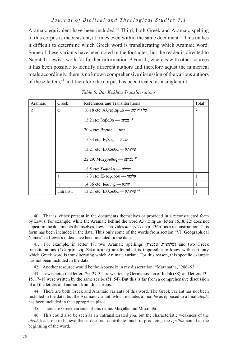#### *Journal of Biblical and Theological Studies 7.1*

Aramaic equivalent have been included.40 Third, both Greek and Aramaic spelling in this corpus is inconsistent, at times even within the same document.<sup>41</sup> This makes it difficult to determine which Greek word is transliterating which Aramaic word. Some of these variants have been noted in the footnotes, but the reader is directed to Naphtali Lewis's work for further information.<sup>42</sup> Fourth, whereas with other sources it has been possible to identify different authors and therefore adjust the numerical totals accordingly, there is no known comprehensive discussion of the various authors of these letters,43 and therefore the corpus has been treated as a single unit.

| Aramaic | Greek     | References and Transliterations                                     | Total |
|---------|-----------|---------------------------------------------------------------------|-------|
| x       | $\alpha$  | $16.18$ etc: Aλγιφιαμμα — על גיף ימא                                | 7     |
|         |           | 13.2 etc: βαβαθα — בבתא <sup>44</sup>                               |       |
|         |           | $20.4$ etc: Bησας — בסא                                             |       |
|         |           | $15.33$ etc: Eγλας — עגלא                                           |       |
|         |           | $13.21$ etc: $E\lambda\lambda$ <sub>o</sub> $\theta\alpha$ - אילותא |       |
|         |           | 22.29: Μαχχουθας - Δερεταπ                                          |       |
|         |           | 18.5 etc: Σωμαλα — κόνω                                             |       |
|         | ε         | $17.3$ etc: Ελεαζαρου — אלעזר                                       |       |
|         | η         | $14.36$ etc: $I\omega\alpha\nu\eta\zeta$                            |       |
|         | untransl. | $13.21$ etc: $E\lambda\lambda$ <sub>o</sub> $\theta\alpha$ - אילותא |       |

*Table 6: Bar Kokhba Transliterations*

40. That is, either present in the documents themselves or provided in a reconstructed form by Lewis. For example, while the Aramaic behind the word Αλγιφιαμμα (letter 16.18, 22) does not appear in the documents themselves, Lewis provides ימא גיף על on p. 136n1 as a reconstruction. This form has been included in the data. Thus only some of the words from section "VI. Geographical Names" in Lewis's index have been included in the data.

41. For example, in letter 18, two Aramaic spellings (שלמצין ,שלמציון (and two Greek transliterations (Σελαμψιωνη, Σελαμψιους) are found. It is impossible to know with certainty which Greek word is transliterating which Aramaic variant. For this reason, this specific example has not been included in the data.

42. Another resource would be the Appendix in my dissertation: "Maranatha," 286–93.

43. Lewis notes that letters 20–27, 34 are written by Germanos son of Judah (88), and letters 13– 15, 17–18 were written by the same scribe (51, 54). But this is far from a comprehensive discussion of all the letters and authors from this corpus.

44. There are both Greek and Aramaic variants of this word. The Greek variant has not been included in the data, but the Aramaic variant, which includes a final *he* as opposed to a final *aleph*, has been included in the appropriate place.

45. There are Greek variants of this name: Μαχυθα and Μακουθα.

46. This could also be seen as an untransliterated *yod*, but the characteristic weakness of the *aleph* leads me to believe that it does not contribute much to producing the *epsilon* sound at the beginning of the word.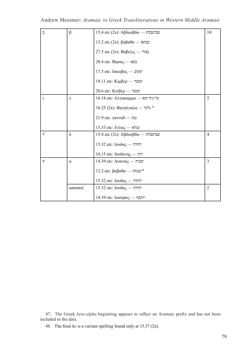| ℶ              | $\beta$   | 15.4 etc (2x): Αβδοοβδα — עבדעבדת                         | 10             |
|----------------|-----------|-----------------------------------------------------------|----------------|
|                |           | 13.2 etc (2x): βαβαθα — בבתא                              |                |
|                |           | 27.5 etc (2x): Βαβελις - בבלי                             |                |
|                |           | 20.4 etc: Βησας — בסא                                     |                |
|                |           | $17.5$ etc: $I\alpha\kappa\omega\beta$ oc — יעקוב         |                |
|                |           | 18.11 etc: Κιμβερ - γα                                    |                |
|                |           | 20.6 etc: Κινβερ - γα                                     |                |
| λ              | $\gamma$  | $16.18$ etc: Αλγιφιαμμα — על גיף ימא                      | 5              |
|                |           | 16.25 (2x): Βαγαλγαλα - <sup>47</sup>                     |                |
|                |           | 21.9 etc: γανναθ — גנת                                    |                |
|                |           | 15.33 etc: Εγλας — עגלא                                   |                |
| $\overline{1}$ | $\delta$  | $15.4$ etc (2x): Αβδοοβδα — עבדעבדת                       | $\overline{4}$ |
|                |           | $15.32$ etc: $Iov\delta\alpha\varsigma$ - הודה            |                |
|                |           | $16.15$ etc: Ιουδανης — γιν                               |                |
| $\overline{1}$ | $\alpha$  | $14.39$ etc: Avavia $\varsigma$ — חנניה                   | 3              |
|                |           | 13.2 etc: βαβαθα — בבתה <sup>48</sup>                     |                |
|                |           | $15.32$ etc: $Iov\delta\alpha\varsigma$ - יהודה           |                |
|                | untransl. | $15.32$ etc: $Iov\delta\alpha\varsigma$ - הודה            | $\overline{2}$ |
|                |           | $14.39$ etc: $I\omega \sigma \eta \pi \sigma \zeta$ יוהסף |                |

47. The Greek *beta-alpha* beginning appears to reflect an Aramaic prefix and has not been included in the data.

48. The final *he* is a variant spelling found only at 15.37 (2x).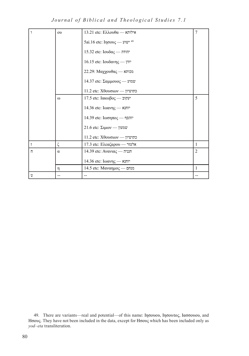*Journal of Biblical and Theological Studies 7.1*

| $\mathbf{A}$   | $\infty$ | $13.21$ etc: $E\lambda\lambda$ <sub>o</sub> $\theta\alpha$ - אילותא | 7              |  |  |
|----------------|----------|---------------------------------------------------------------------|----------------|--|--|
|                |          | 5ai.16 etc: Iησους - Ψων 49                                         |                |  |  |
|                |          | $15.32$ etc: $Iov\delta\alpha\varsigma$ - יהודה                     |                |  |  |
|                |          | 16.15 etc: Ιουδανης - γιν                                           |                |  |  |
|                |          | $22.29$ : Μαχχουθας — מכותא                                         |                |  |  |
|                |          | $14.37$ etc: $\Sigma \alpha \mu \mu \nu \nu \gamma$ שמוע $\mu \nu$  |                |  |  |
|                |          | $11.2$ etc: $X\theta$ כתושיון - יוסוס                               |                |  |  |
|                | $\omega$ | 17.5 etc: Ιακωβος - עקוב                                            |                |  |  |
|                |          | 14.36 etc: Ιωανης — אוחנא                                           |                |  |  |
|                |          | 14.39 etc: Ιωσηπος - γιπορ                                          |                |  |  |
|                |          | $21.6$ etc: $\Sigma\mu\omega v$ שמעון                               |                |  |  |
|                |          | $11.2$ etc: $X\theta$ כתושיון - יוס                                 |                |  |  |
| T              | ζ        | 17.3 etc: Ελεαζαρου - אלעזר                                         | 1              |  |  |
| $\overline{u}$ | $\alpha$ | $14.39$ etc: Avavia $\varsigma$ — חנניה                             | $\overline{c}$ |  |  |
|                |          | $14.36$ etc: $I\omega \alpha \nu \eta \zeta \rightarrow$ יוחנא      |                |  |  |
|                | η        | 14.5 etc: Μαναημος — מנחם                                           | $\mathbf{1}$   |  |  |
| υ              |          | --                                                                  |                |  |  |

49. There are variants—real and potential—of this name: Ιησουου, Ιησουτος, Ιασσουου, and Ησους. They have not been included in the data, except for Ησους which has been included only as *yod*–*eta* transliteration.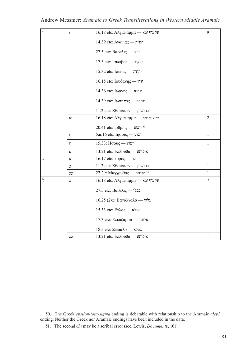|  | $\ddot{\phantom{0}}$ | $\mathfrak t$ | 16.18 etc: Αλγιφιαμμα — ετς είναι τη                                |                 |  |  |  |
|--|----------------------|---------------|---------------------------------------------------------------------|-----------------|--|--|--|
|  |                      |               | $14.39$ etc: Avavia $\varsigma$ — חנניה                             |                 |  |  |  |
|  |                      |               | 27.5 etc: Βαβελις — בבלי                                            |                 |  |  |  |
|  |                      |               | 17.5 etc: Ιακωβος - עקוב                                            |                 |  |  |  |
|  |                      |               | $15.32$ etc: $Iov\delta\alpha\varsigma$ - הודה                      |                 |  |  |  |
|  |                      |               | 16.15 etc: Ιουδανης - γιν                                           |                 |  |  |  |
|  |                      |               | 14.36 etc: Ιωανης — אוחנא                                           |                 |  |  |  |
|  |                      |               | 14.39 etc: Ιωσηπος - γιπορ                                          |                 |  |  |  |
|  |                      |               | $11.2$ etc: $X\theta$ כתושיון - יוסוס                               |                 |  |  |  |
|  |                      | ια            | $16.18$ etc: Αλγιφιαμμα — על גיף ימא                                | $\overline{2}$  |  |  |  |
|  |                      |               | 20.41 etc: $\alpha\theta\mu$ ומא - <sup>50</sup>                    |                 |  |  |  |
|  |                      | ıη            | 5ai.16 etc: Ιησους - שוע                                            | $\mathbf{1}$    |  |  |  |
|  |                      | η             | $15.33$ : $H\sigma$ ישוע $-$                                        |                 |  |  |  |
|  |                      | ε             | 13.21 etc: Ελλουθα — אילות                                          |                 |  |  |  |
|  | $\overline{a}$       | κ             | נר - 16.17 etc: κορος                                               |                 |  |  |  |
|  |                      | χ             | 11.2 etc: $X\theta$ יון - יוסססס                                    |                 |  |  |  |
|  |                      | χχ            | 22.29: Μαχχουθας - <sup>51</sup>                                    |                 |  |  |  |
|  | $\overline{z}$       | λ             | $16.18$ etc: Αλγιφιαμμα — על גיף ימא                                | $7\phantom{.0}$ |  |  |  |
|  |                      |               | 27.5 etc: Βαβελις — בבלי                                            |                 |  |  |  |
|  |                      |               | 16.25 (2x): Βαγαλγαλα - $\lambda$                                   |                 |  |  |  |
|  |                      |               | $15.33$ etc: Eγλας — עגלא                                           |                 |  |  |  |
|  |                      |               | 17.3 etc: Ελεαζαρου - אלעזר                                         |                 |  |  |  |
|  |                      |               | $18.5$ etc: Σωμαλα — שמלא                                           |                 |  |  |  |
|  |                      | λλ            | $13.21$ etc: $E\lambda\lambda$ <sub>o</sub> $\theta\alpha$ - אילותא | $\mathbf{1}$    |  |  |  |

50. The Greek *epsilon-iota-sigma* ending is debatable with relationship to the Aramaic *aleph* ending. Neither the Greek nor Aramaic endings have been included in the data.

51. The second *chi* may be a scribal error (see. Lewis, *Document*s, 101).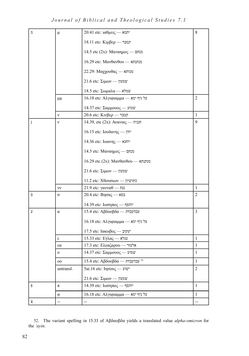*Journal of Biblical and Theological Studies 7.1*

| わ | μ                                               | $20.41$ etc: $\alpha\theta\mu\epsilon\iota\zeta$ - יתמא | 8              |  |  |  |
|---|-------------------------------------------------|---------------------------------------------------------|----------------|--|--|--|
|   |                                                 | 18.11 etc: Κιμβερ - γατ                                 |                |  |  |  |
|   |                                                 | 14.5 etc (2x): Μαναημος — Δι                            |                |  |  |  |
|   |                                                 | 16.29 etc: Μανθανθου — αιπιπ                            |                |  |  |  |
|   |                                                 | $22.29$ : Μαχχουθας — מכותא                             |                |  |  |  |
|   |                                                 | $21.6$ etc: $\Sigma\mu\omega v$ - שמעון                 |                |  |  |  |
|   |                                                 | 18.5 etc: Σωμαλα — κόνω                                 |                |  |  |  |
|   | μμ                                              | 16.18 etc: Αλγιφιαμμα — ετς είναι τη                    | $\mathfrak{2}$ |  |  |  |
|   |                                                 | $14.37$ etc: Σαμμουος — שמוע                            |                |  |  |  |
|   | $\mathbf{v}$                                    | 20.6 etc: Κινβερ — קמבר                                 |                |  |  |  |
| ı | ν                                               | $14.39$ , etc $(2x)$ : Ανανιας — חנניה                  | 9              |  |  |  |
|   |                                                 | $16.15$ etc: Ιουδανης — γιν                             |                |  |  |  |
|   |                                                 | 14.36 etc: Ιωανης - Υπικ                                |                |  |  |  |
|   |                                                 | 14.5 etc: Μαναημος — מנחם                               |                |  |  |  |
|   |                                                 | 16.29 etc (2x): Μανθανθου — αιπιπ                       |                |  |  |  |
|   |                                                 | $21.6$ etc: $\Sigma\mu\omega v$ - שמעון                 |                |  |  |  |
|   |                                                 | 11.2 etc: Χθουσιων -- נתושיון                           |                |  |  |  |
|   | νv                                              | 21.9 etc: γανναθ — גנת                                  | 1              |  |  |  |
| O | $\sigma$                                        | $20.4$ etc: Βησας — בסא                                 | 2              |  |  |  |
|   |                                                 | 14.39 etc: Ιωσηπος - γιπορ                              |                |  |  |  |
| ÿ | $\alpha$                                        | 15.4 etc: Αβδοοβδα — עבדעבדת                            | 3              |  |  |  |
|   |                                                 | 16.18 etc: Αλγιφιαμμα — על גיף ימא                      |                |  |  |  |
|   |                                                 | 17.5 etc: Ιακωβος - עקוב                                |                |  |  |  |
|   | ε                                               | $15.33$ etc: Eγλας — עגלא                               | $\mathbf{1}$   |  |  |  |
|   | $\mathfrak{so}% =\mathfrak{so}_{\alpha}^{\ast}$ | 17.3 etc: Ελεαζαρου - אלעזר                             | $\mathbf{1}$   |  |  |  |
|   | $\mathbf{o}$                                    | 14.37 etc: Σαμμουος - "                                 |                |  |  |  |
|   | 00                                              | 15.4 etc: Αβδοοβδα — עבדעבדת <sup>52</sup>              | 1              |  |  |  |
|   | untransl.                                       | 5ai.16 etc: Ιησους - ψιων                               | $\overline{c}$ |  |  |  |
|   |                                                 | $21.6$ etc: $\Sigma\mu\omega v$ - שמעון                 |                |  |  |  |
| Đ | π                                               | 14.39 etc: Ιωσηπος - γιπορ                              | $\mathbf{1}$   |  |  |  |
|   | $\phi$                                          | $16.18$ etc: Αλγιφιαμμα — על גיף ימא                    | $\mathbf{1}$   |  |  |  |
| у | --                                              | $\overline{a}$                                          | --             |  |  |  |

52. The variant spelling in 15.33 of Αβδαοβδα yields a translated value *alpha-omicron* for the *'ayin*.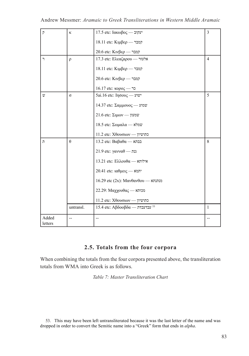| $\overline{P}$   | ĸ              | 17.5 etc: Ιακωβος - עקוב                  | 3              |
|------------------|----------------|-------------------------------------------|----------------|
|                  |                | 18.11 etc: Κιμβερ - γατ                   |                |
|                  |                | 20.6 etc: Κινβερ - קמבר                   |                |
| ר                | $\rho$         | 17.3 etc: Ελεαζαρου - אלעזר               | $\overline{4}$ |
|                  |                | 18.11 etc: Κιμβερ - γα                    |                |
|                  |                | 20.6 etc: Κινβερ - γα                     |                |
|                  |                | נר - 16.17 etc: κορος                     |                |
| v,               | $\sigma$       | 5ai.16 etc: Ιησους - שוע                  | 5              |
|                  |                | $14.37$ etc: Σαμμουος — שמוע              |                |
|                  |                | $21.6$ etc: $\Sigma$ עמעון ---            |                |
|                  |                | $18.5$ etc: Σωμαλα — שמלא                 |                |
|                  |                | 11.2 etc: Χθουσιων -- טרושיון             |                |
| n                | $\theta$       | 13.2 etc: Βαβαθα — בבתא                   | 8              |
|                  |                | 21.9 etc: γανναθ — גנת                    |                |
|                  |                | 13.21 etc: Ελλουθα — אילותא               |                |
|                  |                | $20.41$ etc: $\alpha\theta\mu$ etc - יתמא |                |
|                  |                | 16.29 etc (2x): Μανθανθου — αιπιπ         |                |
|                  |                | 22.29: Μαχχουθας - Δε                     |                |
|                  |                | 11.2 etc: Χθουσιων -- מחושיון             |                |
|                  | untransl.      | 15.4 etc: Αβδοοβδα — עבדעבדת 53           | $\mathbf{1}$   |
| Added<br>letters | $\overline{a}$ | $-$                                       | $-$            |
|                  |                |                                           |                |

# **2.5. Totals from the four corpora**

When combining the totals from the four corpora presented above, the transliteration totals from WMA into Greek is as follows.

*Table 7: Master Transliteration Chart*

53. This may have been left untransliterated because it was the last letter of the name and was dropped in order to convert the Semitic name into a "Greek" form that ends in *alpha*.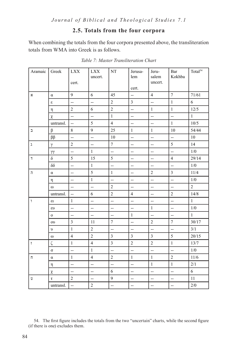# **2.5. Totals from the four corpora**

When combining the totals from the four corpora presented above, the transliteration totals from WMA into Greek is as follows.

| Aramaic        | Greek               | <b>LXX</b><br>cert.      | $\mathbf{LXX}$<br>uncert. | NT                       | Jerusa-<br>lem<br>cert.  | Jeru-<br>salem<br>uncert. | Bar<br>Kokhba            | Total <sup>54</sup> |
|----------------|---------------------|--------------------------|---------------------------|--------------------------|--------------------------|---------------------------|--------------------------|---------------------|
| $\aleph$       | $\alpha$            | 9                        | 6                         | 45                       | $\overline{\phantom{a}}$ | $\overline{4}$            | $\overline{7}$           | 71/61               |
|                | $\pmb{\varepsilon}$ | ΞĒ,                      | $\overline{a}$            | $\overline{2}$           | $\overline{3}$           | $\overline{\phantom{a}}$  | $\mathbf{1}$             | 6                   |
|                | η                   | $\overline{c}$           | 6                         | $\sqrt{2}$               | $\overline{\phantom{a}}$ | $\mathbf{1}$              | $\mathbf{1}$             | $12/5$              |
|                | χ                   | Щ,                       | $\overline{a}$            | $\mathbf{1}$             | $\overline{\phantom{a}}$ | $\overline{a}$            | $\overline{\phantom{a}}$ | $\mathbf{1}$        |
|                | untransl.           | Ξ.                       | 5                         | $\overline{4}$           | $\overline{a}$           | $\overline{a}$            | $\mathbf{1}$             | $10/5$              |
| $\Box$         | β                   | 8                        | 9                         | 25                       | $\mathbf{1}$             | $\mathbf{1}$              | 10                       | 54/44               |
|                | $\beta\beta$        | L.                       | $\mathbb{L}^2$            | 10                       | $\overline{\phantom{a}}$ | $\overline{\phantom{a}}$  | $\overline{\phantom{a}}$ | 10                  |
| $\lambda$      | γ                   | $\overline{2}$           | $\overline{a}$            | $\overline{7}$           | $\overline{\phantom{a}}$ | $\overline{\phantom{a}}$  | 5                        | 14                  |
|                | $\gamma\gamma$      | $\overline{\phantom{a}}$ | $\mathbf{1}$              | L,                       | $\overline{\phantom{a}}$ | $\overline{\phantom{a}}$  | $\overline{\phantom{a}}$ | 1/0                 |
| $\overline{1}$ | $\delta$            | 5                        | 15                        | 5                        | $\overline{a}$           | $\overline{\phantom{a}}$  | $\overline{4}$           | 29/14               |
|                | $\delta\delta$      | $\overline{\phantom{a}}$ | $\mathbf{1}$              | $\overline{\phantom{a}}$ | $\overline{\phantom{a}}$ | $\overline{\phantom{a}}$  | $\overline{\phantom{a}}$ | 1/0                 |
| $\overline{1}$ | $\alpha$            | $\overline{\phantom{a}}$ | 5                         | $\mathbf{1}$             | $\overline{\phantom{a}}$ | $\overline{2}$            | $\mathfrak{Z}$           | 11/4                |
|                | η                   | $\overline{a}$           | $\mathbf{1}$              | $\overline{a}$           | $\overline{\phantom{a}}$ | $\overline{\phantom{a}}$  | $\overline{\phantom{a}}$ | 1/0                 |
|                | $\omega$            | $\overline{\phantom{a}}$ | $\overline{a}$            | $\overline{2}$           | $\overline{\phantom{a}}$ | $\overline{\phantom{a}}$  | $\overline{\phantom{a}}$ | $\overline{2}$      |
|                | untransl.           | --                       | 6                         | $\overline{2}$           | $\overline{4}$           | $\overline{a}$            | $\overline{2}$           | 14/8                |
| ۱.             | $\epsilon$          | $\mathbf{1}$             | $\overline{\phantom{a}}$  | Ξ.                       | $\overline{\phantom{a}}$ | $\overline{\phantom{a}}$  | $\overline{\phantom{a}}$ | $\mathbf{1}$        |
|                | $\epsilon$          | $\mathbb{L}$             | $\overline{a}$            | u.                       | $\bar{\phantom{a}}$      | $\mathbf{1}$              | $\overline{a}$           | 1/0                 |
|                | $\mathbf{O}$        | <u>.,</u>                | $\overline{a}$            | <u>.,</u>                | $\mathbf{1}$             | $\ddotsc$                 | $\overline{\phantom{a}}$ | $\mathbf{1}$        |
|                | <b>ου</b>           | $\overline{3}$           | 11                        | $\tau$                   | $\overline{\phantom{a}}$ | $\overline{2}$            | $\tau$                   | 30/17               |
|                | $\upsilon$          | $\mathbf{1}$             | $\overline{c}$            | $\overline{\phantom{a}}$ | $\bar{\phantom{a}}$      | L.                        | $\overline{\phantom{a}}$ | 3/1                 |
|                | $\omega$            | $\overline{4}$           | $\overline{c}$            | $\overline{3}$           | $\overline{3}$           | $\overline{\mathbf{3}}$   | 5                        | 20/15               |
| $\mathsf{L}$   | ζ                   | $\mathbf{1}$             | $\overline{4}$            | $\mathfrak{Z}$           | $\overline{c}$           | $\overline{2}$            | $\mathbf{1}$             | 13/7                |
|                | $\sigma$            | $\mathbb{L}^2$           | $\mathbf{1}$              | $\overline{\phantom{a}}$ | $\mathbb{L}^2$           | L.                        | $\overline{\phantom{a}}$ | $1/0$               |
| Π              | $\alpha$            | $\mathbf{1}$             | $\overline{4}$            | $\overline{2}$           | $\mathbf{1}$             | $\mathbf{1}$              | $\overline{2}$           | 11/6                |
|                | η                   | ÷-                       | $\overline{a}$            | $\overline{\phantom{a}}$ | $\overline{\phantom{a}}$ | $\mathbf{1}$              | $\mathbf{1}$             | 2/1                 |
|                | χ                   | ÷.                       | $\overline{\phantom{a}}$  | 6                        | $\overline{\phantom{a}}$ | $\overline{\phantom{a}}$  | $\overline{\phantom{a}}$ | 6                   |
| Ú              | $\tau$              | $\overline{2}$           | $\overline{\phantom{a}}$  | 9                        | $\overline{\phantom{a}}$ | --                        | --                       | 11                  |
|                | untransl.           | --                       | $\overline{c}$            | $\overline{a}$           | $\overline{\phantom{a}}$ | $\overline{\phantom{a}}$  | $\overline{\phantom{a}}$ | $2/0$               |

*Table 7: Master Transliteration Chart*

54. The first figure includes the totals from the two "uncertain" charts, while the second figure (if there is one) excludes them.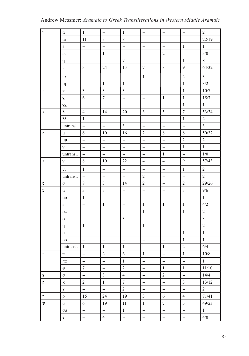# Andrew Messmer: *Aramaic to Greek Transliterations in Western Middle Aramaic*

| $\, ,$               | α                          | $\mathbf{1}$             | $-\!$                    | $\mathbf{1}$             | $\overline{\phantom{a}}$ | $\overline{\phantom{a}}$ | $-\!$                    | $\overline{2}$          |
|----------------------|----------------------------|--------------------------|--------------------------|--------------------------|--------------------------|--------------------------|--------------------------|-------------------------|
|                      | $\alpha$                   | 11                       | $\mathfrak{Z}$           | $8\,$                    | $\overline{a}$           | $\overline{\phantom{a}}$ | $\overline{\phantom{a}}$ | 22/19                   |
|                      | $\boldsymbol{\varepsilon}$ | $\overline{\phantom{a}}$ | $\overline{\phantom{a}}$ | $\overline{\phantom{a}}$ | --                       | $\overline{\phantom{a}}$ | $\mathbf{1}$             | $\mathbf{1}$            |
|                      | ει                         | $\overline{\phantom{a}}$ | $\mathbf{1}$             | $\overline{\phantom{a}}$ | $\overline{\phantom{a}}$ | $\overline{c}$           | $\overline{\phantom{a}}$ | 3/0                     |
|                      | η                          | $\overline{\phantom{a}}$ | <u>.,</u>                | $\overline{7}$           | $\overline{a}$           | $\ddotsc$                | $\mathbf{1}$             | $8\,$                   |
|                      | $\iota$                    | $\mathfrak{Z}$           | 24                       | 13                       | $\tau$                   | $8\,$                    | 9                        | 64/32                   |
|                      | ια                         | $\overline{a}$           | <u>.,</u>                | $\overline{\phantom{a}}$ | $\mathbf{1}$             | $\overline{\phantom{a}}$ | $\overline{2}$           | $\overline{3}$          |
|                      | $\mathfrak{m}$             | $\overline{\phantom{a}}$ | $\mathbf{1}$             | $\mathbf{1}$             | Щ,                       | $\overline{\phantom{a}}$ | $\mathbf{1}$             | 3/2                     |
| $\supset$            | K.                         | $\mathfrak{Z}$           | $\overline{\mathbf{3}}$  | $\overline{3}$           | $\overline{\phantom{a}}$ | ÷,                       | $\,1\,$                  | $10/7$                  |
|                      | $\chi$                     | 6                        | $\tau$                   | $\overline{\phantom{a}}$ | $\overline{\phantom{a}}$ | $\mathbf{1}$             | $\mathbf{1}$             | 15/7                    |
|                      | χχ                         | $\ddotsc$                | L,                       | $\overline{\phantom{a}}$ | $\overline{a}$           | $\ddotsc$                | $\mathbf{1}$             | $\mathbf{1}$            |
| ゥ                    | λ                          | $\overline{4}$           | 14                       | 20                       | $\mathfrak{Z}$           | 5                        | $\boldsymbol{7}$         | 53/34                   |
|                      | λλ                         | $\mathbf{1}$             | Ξ.                       | $\overline{\phantom{a}}$ | $\overline{\phantom{a}}$ | L,                       | $\mathbf{1}$             | $\overline{2}$          |
|                      | untransl.                  | $\ddotsc$                | $\overline{\phantom{a}}$ | $\mathfrak{Z}$           | $\ddotsc$                | $\overline{\phantom{a}}$ | $\overline{a}$           | $\overline{\mathbf{3}}$ |
| n                    | $\mu$                      | 6                        | 10                       | 16                       | $\overline{2}$           | $8\,$                    | $8\,$                    | 50/32                   |
|                      | $\mu\mu$                   | $\overline{\phantom{a}}$ | ÷,                       | $\mathbb{L}^2$           | ц.                       | $\overline{\phantom{a}}$ | $\overline{c}$           | $\overline{2}$          |
|                      | V                          | $\overline{\phantom{a}}$ | $\overline{\phantom{a}}$ | $\overline{\phantom{a}}$ | $\overline{\phantom{a}}$ | $\overline{\phantom{a}}$ | $\mathbf{1}$             | $\mathbf{1}$            |
|                      | untransl.                  | $\overline{\phantom{a}}$ | --                       | $\overline{\phantom{a}}$ | $\overline{\phantom{a}}$ | $\mathbf{1}$             | $\overline{\phantom{a}}$ | 1/0                     |
| ı                    | $\mathbf{v}$               | 8                        | 10                       | 22                       | $\overline{4}$           | $\overline{4}$           | 9                        | 57/43                   |
|                      | νv                         | $\mathbf{1}$             | u.                       | ω.                       | $\overline{\phantom{a}}$ | $\overline{\phantom{a}}$ | $\mathbf{1}$             | $\overline{2}$          |
|                      | untransl.                  | $\overline{a}$           | Щ,                       | $\mathbb{L}^2$           | $\overline{2}$           | $\overline{\phantom{a}}$ | $\overline{a}$           | $\overline{2}$          |
| $\hbox{\tt\small o}$ | $\sigma$                   | $8\,$                    | $\mathfrak{Z}$           | 14                       | $\overline{2}$           | $\overline{\phantom{a}}$ | $\overline{2}$           | 29/26                   |
| ÿ                    | $\alpha$                   | $\mathfrak{Z}$           | $\mathfrak{Z}$           | $\bar{\phantom{a}}$      | ц.                       | $\overline{a}$           | $\mathfrak{Z}$           | 9/6                     |
|                      | αα                         | $\mathbf{1}$             | ÷,                       | $\overline{\phantom{a}}$ | $\overline{\phantom{a}}$ | $\overline{\phantom{a}}$ | $\overline{\phantom{a}}$ | $1\,$                   |
|                      | 3                          | $\overline{\phantom{a}}$ | $\mathbf{1}$             | $\overline{\phantom{a}}$ | $\mathbf{1}$             | $\mathbf{1}$             | 1                        | 4/2                     |
|                      | $\alpha$                   | $\overline{\phantom{a}}$ | $\overline{a}$           | $\overline{a}$           | $\mathbf{1}$             | $\ddotsc$                | $\mathbf{1}$             | $\sqrt{2}$              |
|                      | 33                         | $\overline{\phantom{a}}$ | --                       | $\mathfrak{Z}$           | $\overline{\phantom{a}}$ | $\overline{\phantom{a}}$ | $\overline{\phantom{a}}$ | $\mathfrak{Z}$          |
|                      | η                          | $\mathbf{1}$             | $\overline{\phantom{a}}$ | $\overline{\phantom{a}}$ | $\mathbf{1}$             | $\overline{\phantom{a}}$ | $\overline{\phantom{a}}$ | $\overline{c}$          |
|                      | $\mathbf{O}$               | $\overline{\phantom{a}}$ | $\overline{\phantom{a}}$ | $\overline{\phantom{a}}$ | ÷,                       | $\overline{\phantom{a}}$ | $\mathbf{1}$             | $\,1\,$                 |
|                      | $00\,$                     | $\overline{\phantom{a}}$ | $\overline{\phantom{a}}$ | $\overline{\phantom{a}}$ | $\overline{\phantom{a}}$ | $\overline{\phantom{a}}$ | $\,1\,$                  | $\mathbf{1}$            |
|                      | untransl.                  | $\mathbf{1}$             | $\mathbf{1}$             | $\mathbf{1}$             | $\overline{\phantom{a}}$ | $\mathbf{1}$             | $\sqrt{2}$               | 6/4                     |
| Đ                    | π                          | $\overline{\phantom{a}}$ | $\sqrt{2}$               | $\sqrt{6}$               | $1\,$                    | $\overline{\phantom{a}}$ | $\mathbf{1}$             | $10/8$                  |
|                      | $\pi\varphi$               | $\overline{\phantom{a}}$ | $\ddotsc$                | $\mathbf{1}$             | $\overline{\phantom{a}}$ | $\ddotsc$                | --                       | $\mathbf{1}$            |
|                      | $\phi$                     | $\boldsymbol{7}$         | $\overline{\phantom{a}}$ | $\sqrt{2}$               | $\overline{\phantom{a}}$ | $1\,$                    | $\mathbf{1}$             | $11/10$                 |
| $\mathbf x$          | $\sigma$                   | $\ddotsc$                | $8\,$                    | $\overline{4}$           | $\overline{\phantom{a}}$ | $\sqrt{2}$               | $\ddotsc$                | 14/4                    |
| $\overline{P}$       | κ                          | $\overline{c}$           | $\mathbf{1}$             | $\boldsymbol{7}$         | $\overline{\phantom{a}}$ | $\overline{\phantom{a}}$ | $\mathfrak{Z}$           | 13/12                   |
|                      | χ                          | $\ddotsc$                | --                       | $\sqrt{2}$               | $\overline{\phantom{a}}$ | $\ddotsc$                | $\overline{\phantom{a}}$ | $\overline{c}$          |
| ٦.                   | $\rho$                     | 15                       | 24                       | 19                       | $\mathfrak{Z}$           | 6                        | $\overline{4}$           | 71/41                   |
| $\boldsymbol{w}$     | $\sigma$                   | 6                        | 19                       | 11                       | $\mathbf{1}$             | $\boldsymbol{7}$         | 5                        | 49/23                   |
|                      | $\alpha$                   | ÷,                       | $\overline{\phantom{a}}$ | $\mathbf{1}$             | $\overline{\phantom{a}}$ | ÷,                       | $\ddotsc$                | $\mathbf{1}$            |
|                      | τ                          | $\overline{\phantom{a}}$ | $\overline{4}$           | $\overline{\phantom{a}}$ | $\overline{\phantom{a}}$ | $\ddotsc$                | $\overline{\phantom{a}}$ | 4/0                     |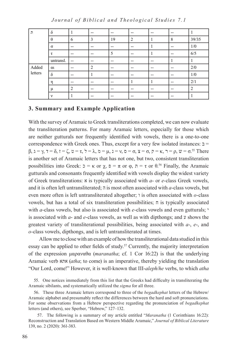*Journal of Biblical and Theological Studies 7.1*

| n.      | $\delta$     |        | $\overline{\phantom{m}}$ | --    | $- -$          | $- -$ | $- -$ |                |
|---------|--------------|--------|--------------------------|-------|----------------|-------|-------|----------------|
|         | $\theta$     | 6      | 3                        | 19    | $\overline{2}$ |       | 8     | 39/35          |
|         | $\sigma$     | $- -$  | $- -$                    | $- -$ | --             |       | $- -$ | 1/0            |
|         | τ            | $- -$  | $- -$                    | 5     | $-$            |       | $- -$ | 6/5            |
|         | untransl.    | $- -$  | $- -$                    | $- -$ | --             | $- -$ |       |                |
| Added   | $\alpha$     | $- -$  | $\mathcal{L}$            | $- -$ | $-$            | $- -$ | $- -$ | 2/0            |
| letters | $\delta$     | $- -$  |                          | $- -$ | --             | $- -$ | $- -$ | 1/0            |
|         | η            | $- -$  | $- -$                    | $- -$ |                |       | $- -$ | 2/1            |
|         | μ            | ↑<br>∠ | $- -$                    | $- -$ | --             | $- -$ | $- -$ | $\overline{2}$ |
|         | $\mathbf{v}$ |        | $- -$                    | $- -$ | --             | $- -$ | $- -$ |                |

#### **3. Summary and Example Application**

With the survey of Aramaic to Greek transliterations completed, we can now evaluate the transliteration patterns. For many Aramaic letters, especially for those which are neither gutturals nor frequently identified with vowels, there is a one-to-one correspondence with Greek ones. Thus, except for a very few isolated instances:  $\exists$  =  $β$ ,  $λ = γ$ ,  $τ = δ$ ,  $τ = ζ$ ,  $υ = τ$ ,  $ζ = λ$ ,  $α = μ$ ,  $1 = ν$ ,  $υ = σ$ ,  $x = σ$ ,  $ρ = κ$ ,  $τ = ρ$ ,  $ω = σ$ .<sup>55</sup> There is another set of Aramaic letters that has not one, but two, consistent transliteration possibilities into Greek:  $\sigma = \kappa$  or  $\chi$ ,  $\sigma = \pi$  or  $\varphi$ ,  $\pi = \tau$  or θ.<sup>56</sup> Finally, the Aramaic gutturals and consonants frequently identified with vowels display the widest variety of Greek transliterations: א is typically associated with *a*- or *e*-class Greek vowels, and it is often left untransliterated; ה is most often associated with *a*-class vowels, but even more often is left untransliterated altogether; ו is often associated with *o*-class vowels, but has a total of six transliteration possibilities; ח is typically associated with *a*-class vowels, but also is associated with *e*-class vowels and even gutturals; is associated with *a*- and *e*-class vowels, as well as with dipthongs; and ע shows the greatest variety of transliterational possibilities, being associated with *a*-, *e*-, and *o*-class vowels, dipthongs, and is left untransliterated at times.

Allow me to close with an example of how the transliterational data studied in this essay can be applied to other fields of study.<sup>57</sup> Currently, the majority interpretation of the expression μαραναθα (*maranatha*; cf. 1 Cor 16:22) is that the underlying Aramaic verb אתא) *atha*; to come) is an imperative, thereby yielding the translation "Our Lord, come!" However, it is well-known that III-*aleph*/*he* verbs, to which *atha*

55. One notices immediately from this list that the Greeks had difficulty in transliterating the Aramaic sibilants, and systematically utilized the *sigma* for all three.

56. These three Aramaic letters correspond to three of the *begadkephat* letters of the Hebrew/ Aramaic alphabet and presumably reflect the differences between the hard and soft pronunciations. For some observations from a Hebrew perspective regarding the pronunciation of *begadkephat* letters (and others), see Sperber, "Hebrew," 127–132.

57. The following is a summary of my article entitled "*Maranatha* (1 Corinthians 16:22): Reconstruction and Translation Based on Western Middle Aramaic," *Journal of Biblical Literature*  139, no. 2 (2020): 361-383.